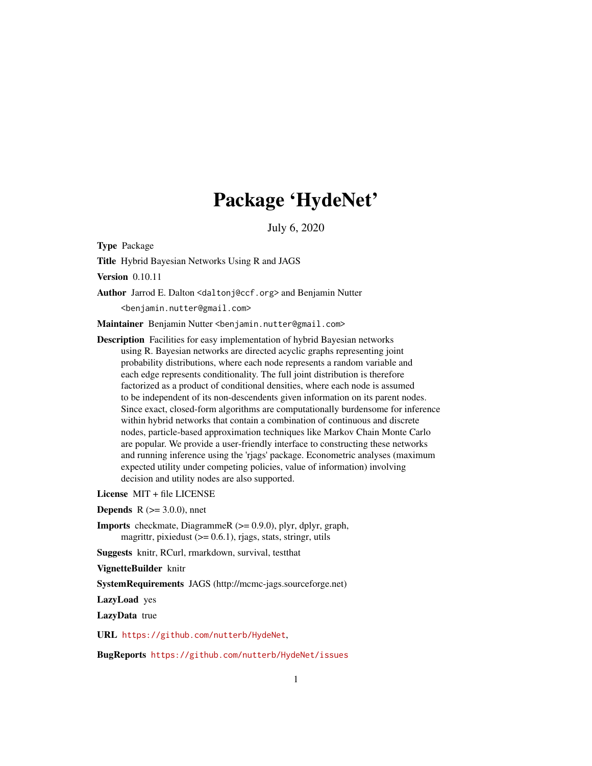# Package 'HydeNet'

July 6, 2020

Type Package

Title Hybrid Bayesian Networks Using R and JAGS

Version 0.10.11

Author Jarrod E. Dalton <daltonj@ccf.org> and Benjamin Nutter

<benjamin.nutter@gmail.com>

Maintainer Benjamin Nutter <benjamin.nutter@gmail.com>

Description Facilities for easy implementation of hybrid Bayesian networks using R. Bayesian networks are directed acyclic graphs representing joint probability distributions, where each node represents a random variable and each edge represents conditionality. The full joint distribution is therefore factorized as a product of conditional densities, where each node is assumed to be independent of its non-descendents given information on its parent nodes. Since exact, closed-form algorithms are computationally burdensome for inference within hybrid networks that contain a combination of continuous and discrete nodes, particle-based approximation techniques like Markov Chain Monte Carlo are popular. We provide a user-friendly interface to constructing these networks and running inference using the 'rjags' package. Econometric analyses (maximum expected utility under competing policies, value of information) involving decision and utility nodes are also supported.

License MIT + file LICENSE

**Depends** R  $(>= 3.0.0)$ , nnet

Imports checkmate, DiagrammeR (>= 0.9.0), plyr, dplyr, graph, magrittr, pixiedust (>= 0.6.1), rjags, stats, stringr, utils

Suggests knitr, RCurl, rmarkdown, survival, testthat

VignetteBuilder knitr

SystemRequirements JAGS (http://mcmc-jags.sourceforge.net)

LazyLoad yes

LazyData true

URL <https://github.com/nutterb/HydeNet>,

BugReports <https://github.com/nutterb/HydeNet/issues>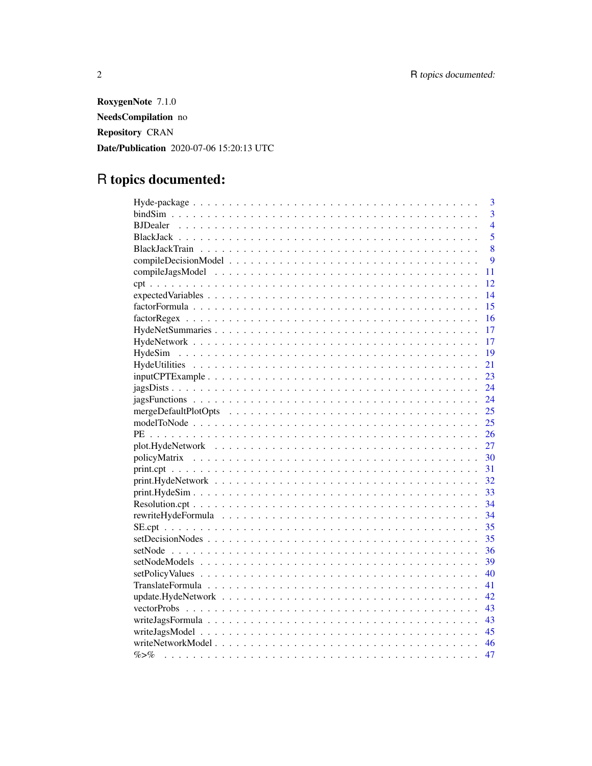RoxygenNote 7.1.0 NeedsCompilation no **Repository CRAN** Date/Publication 2020-07-06 15:20:13 UTC

# R topics documented:

|           | 3              |
|-----------|----------------|
|           | 3              |
|           | $\overline{4}$ |
|           | 5              |
|           | 8              |
|           | 9              |
|           | 11             |
|           | 12             |
|           | 14             |
|           | 15             |
|           | 16             |
|           | 17             |
|           | 17             |
|           | 19             |
|           | 21             |
|           | 23             |
|           | 24             |
|           | 24             |
|           | 25             |
|           | 25             |
|           | 26             |
|           | 27             |
|           | 30             |
|           | 31             |
|           | 32             |
|           | 33             |
|           | 34             |
|           | 34             |
|           | 35             |
|           | 35             |
|           | 36             |
|           | 39             |
|           | 40             |
|           | 41             |
|           | 42             |
|           | 43             |
|           |                |
|           |                |
|           |                |
| $\% > \%$ | 47             |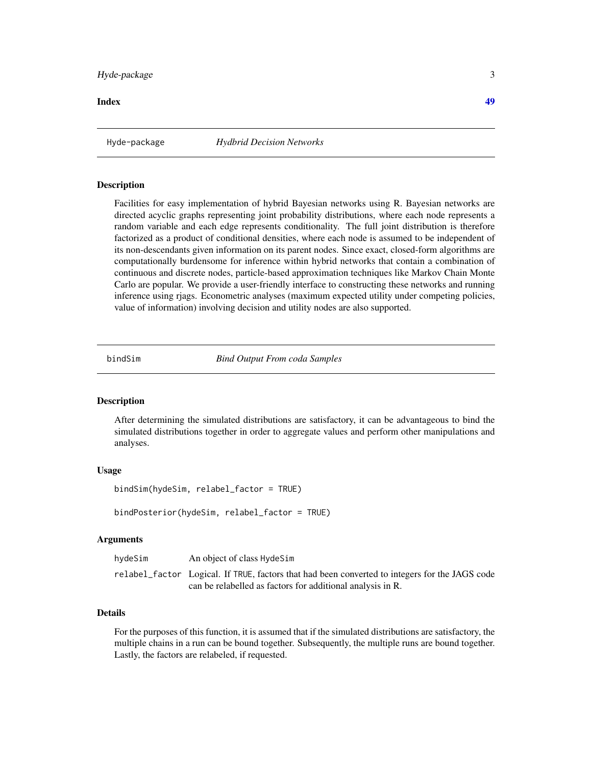# <span id="page-2-0"></span>Hyde-package 3

**Index a** set of the contract of the contract of the contract of the contract of the contract of the contract of the contract of the contract of the contract of the contract of the contract of the contract of the contrac

Hyde-package *Hydbrid Decision Networks*

#### Description

Facilities for easy implementation of hybrid Bayesian networks using R. Bayesian networks are directed acyclic graphs representing joint probability distributions, where each node represents a random variable and each edge represents conditionality. The full joint distribution is therefore factorized as a product of conditional densities, where each node is assumed to be independent of its non-descendants given information on its parent nodes. Since exact, closed-form algorithms are computationally burdensome for inference within hybrid networks that contain a combination of continuous and discrete nodes, particle-based approximation techniques like Markov Chain Monte Carlo are popular. We provide a user-friendly interface to constructing these networks and running inference using rjags. Econometric analyses (maximum expected utility under competing policies, value of information) involving decision and utility nodes are also supported.

bindSim *Bind Output From coda Samples*

#### Description

After determining the simulated distributions are satisfactory, it can be advantageous to bind the simulated distributions together in order to aggregate values and perform other manipulations and analyses.

# Usage

```
bindSim(hydeSim, relabel_factor = TRUE)
```
bindPosterior(hydeSim, relabel\_factor = TRUE)

#### Arguments

| hydeSim | An object of class HydeSim                                                                     |  |
|---------|------------------------------------------------------------------------------------------------|--|
|         | relabel_factor Logical. If TRUE, factors that had been converted to integers for the JAGS code |  |
|         | can be relabelled as factors for additional analysis in R.                                     |  |

# Details

For the purposes of this function, it is assumed that if the simulated distributions are satisfactory, the multiple chains in a run can be bound together. Subsequently, the multiple runs are bound together. Lastly, the factors are relabeled, if requested.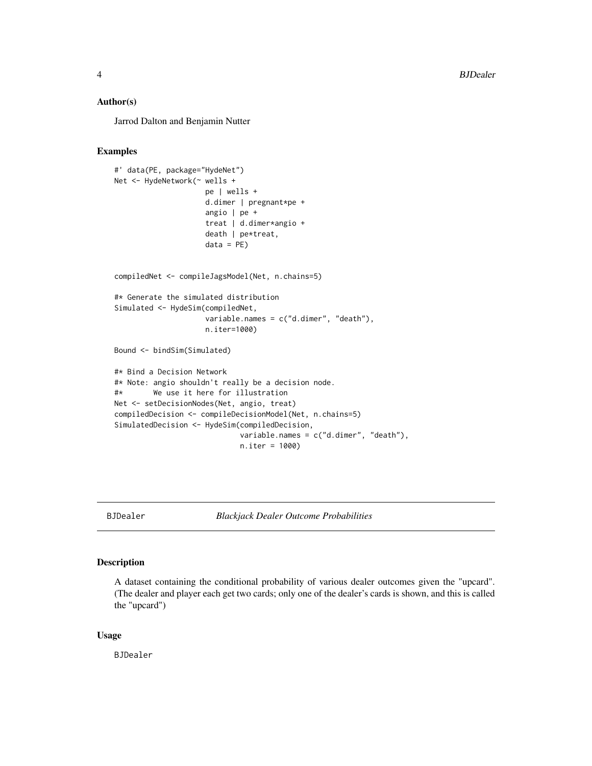#### <span id="page-3-0"></span>Author(s)

Jarrod Dalton and Benjamin Nutter

# Examples

```
#' data(PE, package="HydeNet")
Net <- HydeNetwork(~ wells +
                     pe | wells +
                     d.dimer | pregnant*pe +
                     angio | pe +
                     treat | d.dimer*angio +
                     death | pe*treat,
                     data = PE)
compiledNet <- compileJagsModel(Net, n.chains=5)
#* Generate the simulated distribution
Simulated <- HydeSim(compiledNet,
                     variable.names = c("d.dimer", "death"),
                     n.iter=1000)
Bound <- bindSim(Simulated)
#* Bind a Decision Network
#* Note: angio shouldn't really be a decision node.
#* We use it here for illustration
Net <- setDecisionNodes(Net, angio, treat)
compiledDecision <- compileDecisionModel(Net, n.chains=5)
SimulatedDecision <- HydeSim(compiledDecision,
                             variable.names = c("d.dimer", "death"),
                             n.iter = 1000)
```
BJDealer *Blackjack Dealer Outcome Probabilities*

#### Description

A dataset containing the conditional probability of various dealer outcomes given the "upcard". (The dealer and player each get two cards; only one of the dealer's cards is shown, and this is called the "upcard")

#### Usage

BJDealer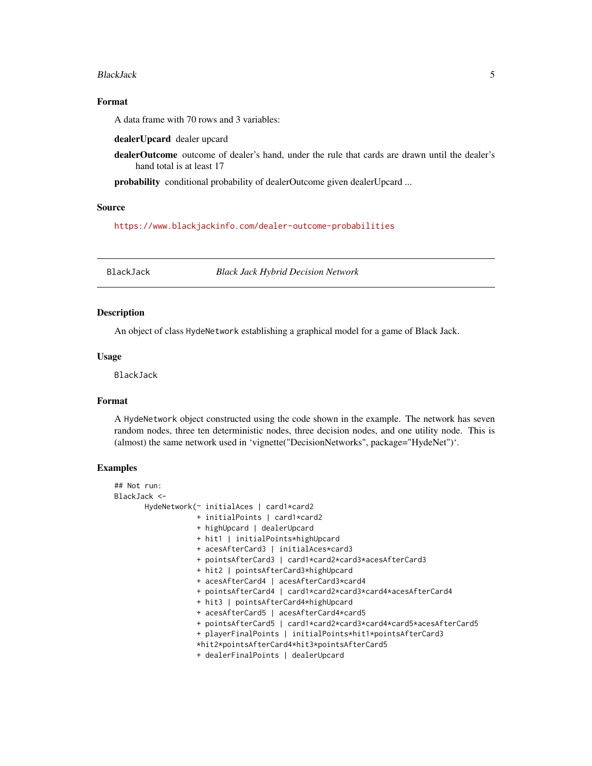#### <span id="page-4-0"></span>BlackJack 5

# Format

A data frame with 70 rows and 3 variables:

dealerUpcard dealer upcard

dealerOutcome outcome of dealer's hand, under the rule that cards are drawn until the dealer's hand total is at least 17

probability conditional probability of dealerOutcome given dealerUpcard ...

# Source

<https://www.blackjackinfo.com/dealer-outcome-probabilities>

BlackJack *Black Jack Hybrid Decision Network*

# **Description**

An object of class HydeNetwork establishing a graphical model for a game of Black Jack.

#### Usage

BlackJack

#### Format

A HydeNetwork object constructed using the code shown in the example. The network has seven random nodes, three ten deterministic nodes, three decision nodes, and one utility node. This is (almost) the same network used in 'vignette("DecisionNetworks", package="HydeNet")'.

# Examples

```
## Not run:
BlackJack <-
      HydeNetwork(~ initialAces | card1*card2
                   + initialPoints | card1*card2
                  + highUpcard | dealerUpcard
                   + hit1 | initialPoints*highUpcard
                  + acesAfterCard3 | initialAces*card3
                   + pointsAfterCard3 | card1*card2*card3*acesAfterCard3
                   + hit2 | pointsAfterCard3*highUpcard
                   + acesAfterCard4 | acesAfterCard3*card4
                   + pointsAfterCard4 | card1*card2*card3*card4*acesAfterCard4
                   + hit3 | pointsAfterCard4*highUpcard
                   + acesAfterCard5 | acesAfterCard4*card5
                   + pointsAfterCard5 | card1*card2*card3*card4*card5*acesAfterCard5
                   + playerFinalPoints | initialPoints*hit1*pointsAfterCard3
                   *hit2*pointsAfterCard4*hit3*pointsAfterCard5
                   + dealerFinalPoints | dealerUpcard
```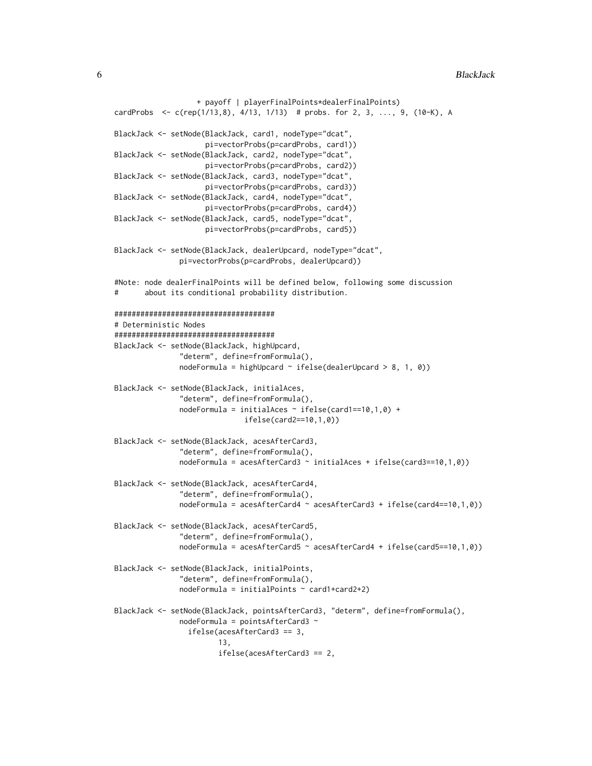```
+ payoff | playerFinalPoints*dealerFinalPoints)
cardProbs <- c(rep(1/13,8), 4/13, 1/13) # probs. for 2, 3, ..., 9, (10-K), A
BlackJack <- setNode(BlackJack, card1, nodeType="dcat",
                     pi=vectorProbs(p=cardProbs, card1))
BlackJack <- setNode(BlackJack, card2, nodeType="dcat",
                     pi=vectorProbs(p=cardProbs, card2))
BlackJack <- setNode(BlackJack, card3, nodeType="dcat",
                     pi=vectorProbs(p=cardProbs, card3))
BlackJack <- setNode(BlackJack, card4, nodeType="dcat",
                     pi=vectorProbs(p=cardProbs, card4))
BlackJack <- setNode(BlackJack, card5, nodeType="dcat",
                     pi=vectorProbs(p=cardProbs, card5))
BlackJack <- setNode(BlackJack, dealerUpcard, nodeType="dcat",
               pi=vectorProbs(p=cardProbs, dealerUpcard))
#Note: node dealerFinalPoints will be defined below, following some discussion
# about its conditional probability distribution.
#####################################
# Deterministic Nodes
#####################################
BlackJack <- setNode(BlackJack, highUpcard,
               "determ", define=fromFormula(),
               nodeFormula = highUpcard ~ ifelse(dealerUpcard ~ 8, 1, 0))BlackJack <- setNode(BlackJack, initialAces,
               "determ", define=fromFormula(),
               nodeFormula = initialAccess \sim ifelse(card1==10,1,0) +ifelse(card2==10,1,0))
BlackJack <- setNode(BlackJack, acesAfterCard3,
               "determ", define=fromFormula(),
               nodeFormula = acestAfterCard3 ~ initialAccess + ifelse(card3==10,1,0))BlackJack <- setNode(BlackJack, acesAfterCard4,
               "determ", define=fromFormula(),
               nodeFormula = acesAfterCard4 ~ acesAfterCard3 + ifelse(card4==10,1,0))
BlackJack <- setNode(BlackJack, acesAfterCard5,
               "determ", define=fromFormula(),
               nodeFormula = acesAfterCard5 ~ acesAfterCard4 + ifelse(card5==10,1,0))
BlackJack <- setNode(BlackJack, initialPoints,
               "determ", define=fromFormula(),
               nodeFormula = initialPoints ~ card1 + card2 + 2)BlackJack <- setNode(BlackJack, pointsAfterCard3, "determ", define=fromFormula(),
               nodeFormula = pointsAfterCard3 ~
                 ifelse(acesAfterCard3 == 3,
                        13,
                        ifelse(acesAfterCard3 == 2,
```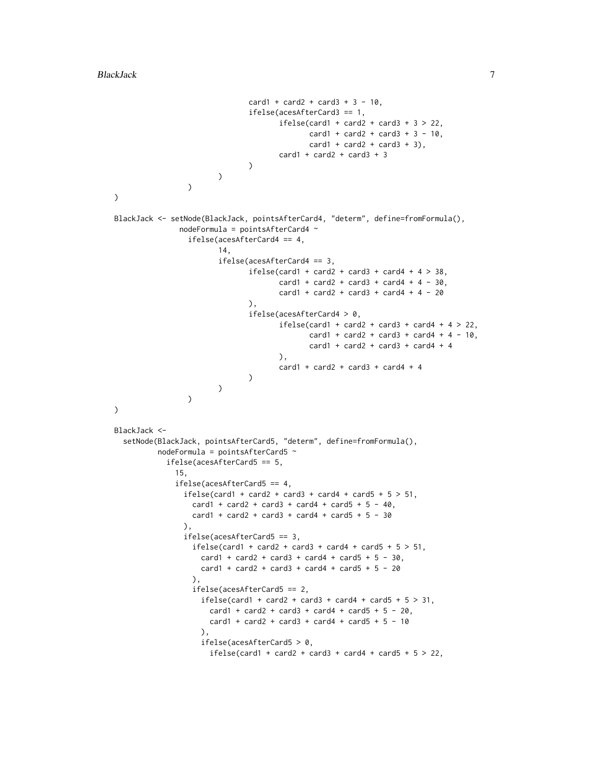```
card1 + card2 + card3 + 3 - 10,
                                ifelse(acesAfterCard3 == 1,
                                       ifelse(card1 + card2 + card3 + 3 > 22,
                                              card1 + card2 + card3 + 3 - 10,
                                              card1 + card2 + card3 + 3,
                                       card1 + card2 + card3 + 3)
                        \lambda\lambda)
BlackJack <- setNode(BlackJack, pointsAfterCard4, "determ", define=fromFormula(),
               nodeFormula = pointsAfterCard4 ~
                 ifelse(acesAfterCard4 == 4,
                         14,
                         ifelse(acesAfterCard4 == 3,
                                ifelse(card1 + card2 + card3 + card4 + 4 > 38,
                                       card1 + card2 + card3 + card4 + 4 - 30,card1 + card2 + card3 + card4 + 4 - 20),
                                ifelse(acesAfterCard4 > 0,
                                       ifelse(card1 + card2 + card3 + card4 + 4 > 22,
                                              card1 + card2 + card3 + card4 + 4 - 10,card1 + card2 + card3 + card4 + 4),
                                       card1 + card2 + card3 + card4 + 4
                                \mathcal{L}\lambda\mathcal{L}\mathcal{L}BlackJack <-
  setNode(BlackJack, pointsAfterCard5, "determ", define=fromFormula(),
          nodeFormula = pointsAfterCard5 ~
            ifelse(acesAfterCard5 == 5,
              15,
              ifelse(acesAfterCard5 == 4,
                ifelse(card1 + card2 + card3 + card4 + card5 + 5 > 51,
                  card1 + card2 + card3 + card4 + card5 + 5 - 40,card1 + card2 + card3 + card4 + card5 + 5 - 30),
                ifelse(acesAfterCard5 == 3,
                  ifelse(card1 + card2 + card3 + card4 + card5 + 5 > 51,
                     card1 + card2 + card3 + card4 + card5 + 5 - 30,card1 + card2 + card3 + card4 + card5 + 5 - 20),
                  ifelse(acesAfterCard5 == 2,
                    ifelse(card1 + card2 + card3 + card4 + card5 + 5 > 31,
                      card1 + card2 + card3 + card4 + card5 + 5 - 20,
                      card1 + card2 + card3 + card4 + card5 + 5 - 10),
                     ifelse(acesAfterCard5 > 0,
                      ifelse(card1 + card2 + card3 + card4 + card5 + 5 > 22,
```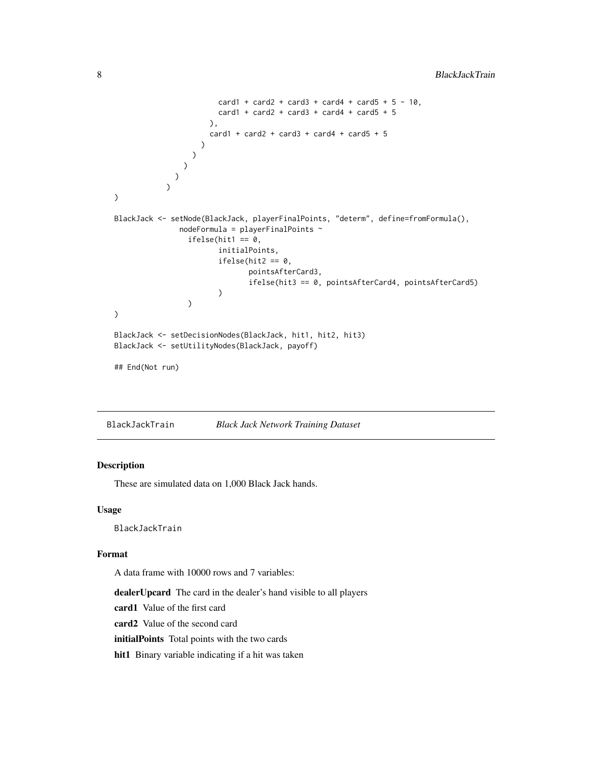```
card1 + card2 + card3 + card4 + card5 + 5 - 10,
                         card1 + card2 + card3 + card4 + card5 + 5),
                       card1 + card2 + card3 + card4 + card5 + 5)
                  )
                )
              )
            \mathcal{L}\overline{\phantom{a}}BlackJack <- setNode(BlackJack, playerFinalPoints, "determ", define=fromFormula(),
                nodeFormula = playerFinalPoints ~
                  ifelse(hit1 == 0,
                         initialPoints,
                         ifelse(hit2 == 0,pointsAfterCard3,
                                 ifelse(hit3 == 0, pointsAfterCard4, pointsAfterCard5)
                         )
                  )
)
BlackJack <- setDecisionNodes(BlackJack, hit1, hit2, hit3)
BlackJack <- setUtilityNodes(BlackJack, payoff)
## End(Not run)
```
BlackJackTrain *Black Jack Network Training Dataset*

#### Description

These are simulated data on 1,000 Black Jack hands.

# Usage

BlackJackTrain

#### Format

A data frame with 10000 rows and 7 variables:

dealerUpcard The card in the dealer's hand visible to all players

card1 Value of the first card

card2 Value of the second card

initialPoints Total points with the two cards

hit1 Binary variable indicating if a hit was taken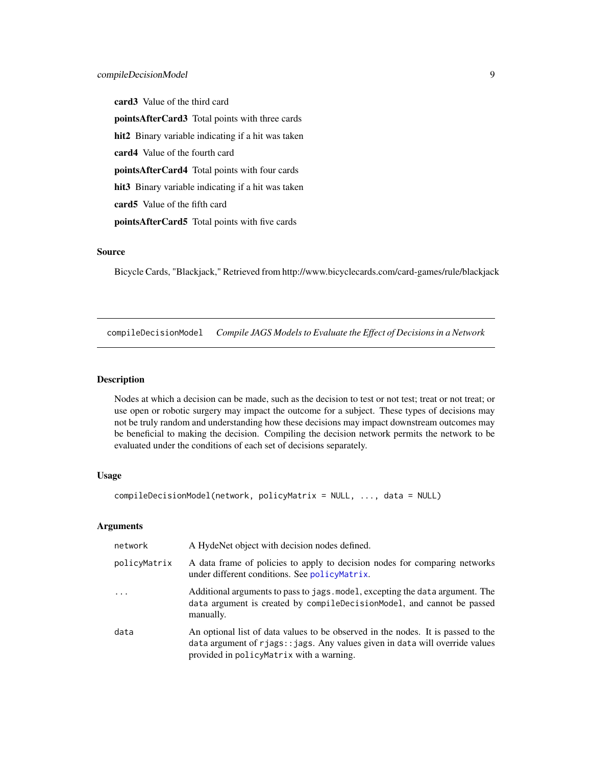<span id="page-8-0"></span>card3 Value of the third card pointsAfterCard3 Total points with three cards

hit2 Binary variable indicating if a hit was taken

card4 Value of the fourth card

pointsAfterCard4 Total points with four cards

hit3 Binary variable indicating if a hit was taken

card5 Value of the fifth card

pointsAfterCard5 Total points with five cards

# Source

Bicycle Cards, "Blackjack," Retrieved from http://www.bicyclecards.com/card-games/rule/blackjack

compileDecisionModel *Compile JAGS Models to Evaluate the Effect of Decisions in a Network*

#### Description

Nodes at which a decision can be made, such as the decision to test or not test; treat or not treat; or use open or robotic surgery may impact the outcome for a subject. These types of decisions may not be truly random and understanding how these decisions may impact downstream outcomes may be beneficial to making the decision. Compiling the decision network permits the network to be evaluated under the conditions of each set of decisions separately.

#### Usage

```
compileDecisionModel(network, policyMatrix = NULL, ..., data = NULL)
```
#### Arguments

| network      | A HydeNet object with decision nodes defined.                                                                                                                                                                |
|--------------|--------------------------------------------------------------------------------------------------------------------------------------------------------------------------------------------------------------|
| policyMatrix | A data frame of policies to apply to decision nodes for comparing networks<br>under different conditions. See policyMatrix.                                                                                  |
| $\cdot$      | Additional arguments to pass to jags. model, excepting the data argument. The<br>data argument is created by compileDecisionModel, and cannot be passed<br>manually.                                         |
| data         | An optional list of data values to be observed in the nodes. It is passed to the<br>data argument of rjags:: jags. Any values given in data will override values<br>provided in policyMatrix with a warning. |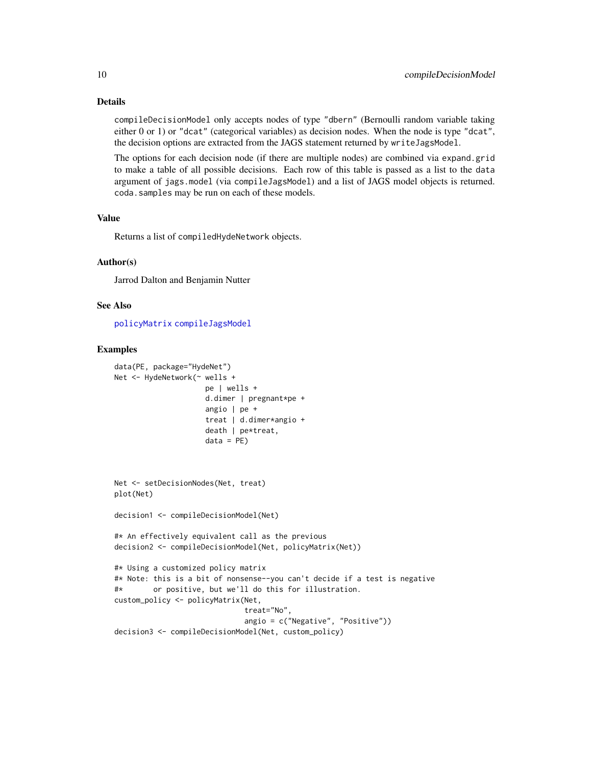# <span id="page-9-0"></span>Details

compileDecisionModel only accepts nodes of type "dbern" (Bernoulli random variable taking either 0 or 1) or "dcat" (categorical variables) as decision nodes. When the node is type "dcat", the decision options are extracted from the JAGS statement returned by writeJagsModel.

The options for each decision node (if there are multiple nodes) are combined via expand.grid to make a table of all possible decisions. Each row of this table is passed as a list to the data argument of jags.model (via compileJagsModel) and a list of JAGS model objects is returned. coda.samples may be run on each of these models.

# Value

Returns a list of compiledHydeNetwork objects.

#### Author(s)

Jarrod Dalton and Benjamin Nutter

#### See Also

[policyMatrix](#page-29-1) [compileJagsModel](#page-10-1)

#### Examples

```
data(PE, package="HydeNet")
Net <- HydeNetwork(~ wells +
                    pe | wells +
                     d.dimer | pregnant*pe +
                     angio | pe +
                     treat | d.dimer*angio +
                     death | pe*treat,
                     data = PE)
Net <- setDecisionNodes(Net, treat)
plot(Net)
decision1 <- compileDecisionModel(Net)
#* An effectively equivalent call as the previous
decision2 <- compileDecisionModel(Net, policyMatrix(Net))
#* Using a customized policy matrix
#* Note: this is a bit of nonsense--you can't decide if a test is negative
#* or positive, but we'll do this for illustration.
custom_policy <- policyMatrix(Net,
                              treat="No",
                             angio = c("Negative", "Positive"))
decision3 <- compileDecisionModel(Net, custom_policy)
```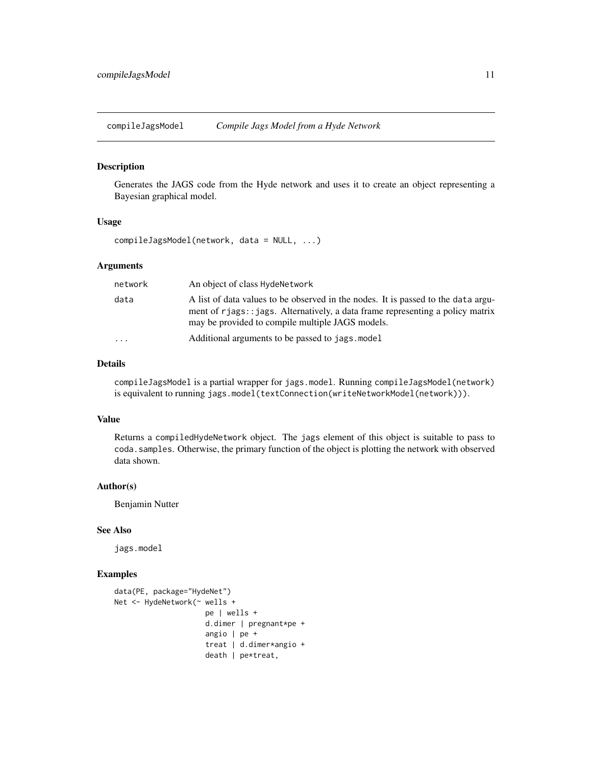<span id="page-10-1"></span><span id="page-10-0"></span>compileJagsModel *Compile Jags Model from a Hyde Network*

# Description

Generates the JAGS code from the Hyde network and uses it to create an object representing a Bayesian graphical model.

#### Usage

compileJagsModel(network, data = NULL, ...)

# Arguments

| network           | An object of class HydeNetwork                                                                                                                                                                                           |
|-------------------|--------------------------------------------------------------------------------------------------------------------------------------------------------------------------------------------------------------------------|
| data              | A list of data values to be observed in the nodes. It is passed to the data argu-<br>ment of rjags: : jags. Alternatively, a data frame representing a policy matrix<br>may be provided to compile multiple JAGS models. |
| $\cdot\cdot\cdot$ | Additional arguments to be passed to jags. model                                                                                                                                                                         |

#### Details

compileJagsModel is a partial wrapper for jags.model. Running compileJagsModel(network) is equivalent to running jags.model(textConnection(writeNetworkModel(network))).

#### Value

Returns a compiledHydeNetwork object. The jags element of this object is suitable to pass to coda.samples. Otherwise, the primary function of the object is plotting the network with observed data shown.

# Author(s)

Benjamin Nutter

# See Also

jags.model

# Examples

```
data(PE, package="HydeNet")
Net <- HydeNetwork(~ wells +
                     pe | wells +
                     d.dimer | pregnant*pe +
                     angio | pe +
                     treat | d.dimer*angio +
                     death | pe*treat,
```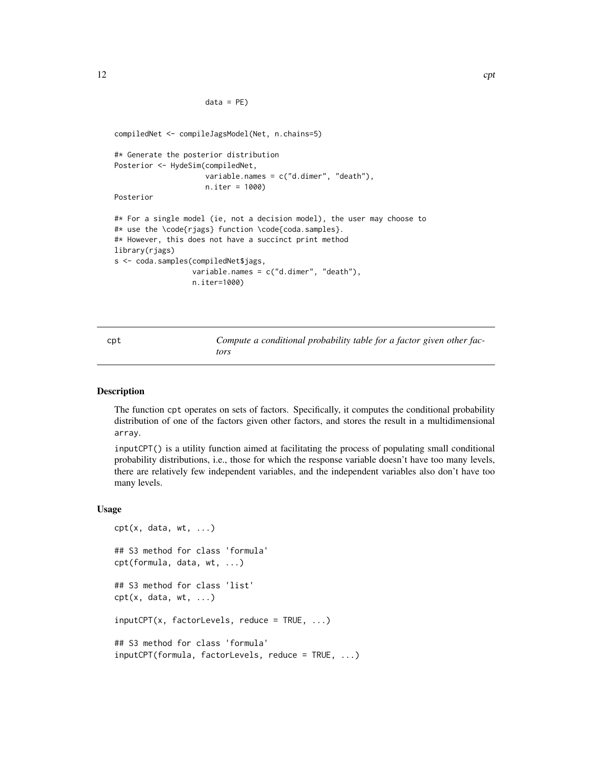```
data = PE)
```

```
compiledNet <- compileJagsModel(Net, n.chains=5)
#* Generate the posterior distribution
Posterior <- HydeSim(compiledNet,
                     variable.names = c("d.dimer", "death"),
                     n.iter = 1000)
Posterior
#* For a single model (ie, not a decision model), the user may choose to
#* use the \code{rjags} function \code{coda.samples}.
#* However, this does not have a succinct print method
library(rjags)
s <- coda.samples(compiledNet$jags,
                  variable.names = c("d.dimer", "death"),
                  n.iter=1000)
```
cpt *Compute a conditional probability table for a factor given other factors*

#### Description

The function cpt operates on sets of factors. Specifically, it computes the conditional probability distribution of one of the factors given other factors, and stores the result in a multidimensional array.

inputCPT() is a utility function aimed at facilitating the process of populating small conditional probability distributions, i.e., those for which the response variable doesn't have too many levels, there are relatively few independent variables, and the independent variables also don't have too many levels.

#### Usage

```
cpt(x, data, wt, ...)## S3 method for class 'formula'
cpt(formula, data, wt, ...)
## S3 method for class 'list'
\text{cpt}(x, data, wt, ...)inputCPT(x, factorLevels, reduce = TRUE, ...)## S3 method for class 'formula'
inputCPT(formula, factorLevels, reduce = TRUE, ...)
```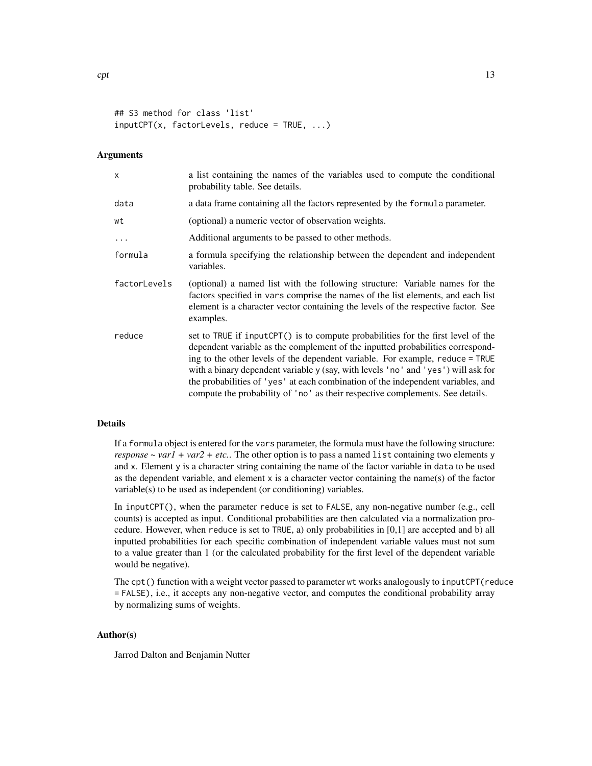```
## S3 method for class 'list'
inputCPT(x, factorLevels, reduce = TRUE, ...)
```
#### Arguments

| $\mathsf{x}$ | a list containing the names of the variables used to compute the conditional<br>probability table. See details.                                                                                                                                                                                                                                                                                                                                                                                               |
|--------------|---------------------------------------------------------------------------------------------------------------------------------------------------------------------------------------------------------------------------------------------------------------------------------------------------------------------------------------------------------------------------------------------------------------------------------------------------------------------------------------------------------------|
| data         | a data frame containing all the factors represented by the formula parameter.                                                                                                                                                                                                                                                                                                                                                                                                                                 |
| wt           | (optional) a numeric vector of observation weights.                                                                                                                                                                                                                                                                                                                                                                                                                                                           |
| $\ddotsc$    | Additional arguments to be passed to other methods.                                                                                                                                                                                                                                                                                                                                                                                                                                                           |
| formula      | a formula specifying the relationship between the dependent and independent<br>variables.                                                                                                                                                                                                                                                                                                                                                                                                                     |
| factorLevels | (optional) a named list with the following structure: Variable names for the<br>factors specified in vars comprise the names of the list elements, and each list<br>element is a character vector containing the levels of the respective factor. See<br>examples.                                                                                                                                                                                                                                            |
| reduce       | set to TRUE if inputCPT() is to compute probabilities for the first level of the<br>dependent variable as the complement of the inputted probabilities correspond-<br>ing to the other levels of the dependent variable. For example, reduce = TRUE<br>with a binary dependent variable y (say, with levels 'no' and 'yes') will ask for<br>the probabilities of 'yes' at each combination of the independent variables, and<br>compute the probability of 'no' as their respective complements. See details. |

#### Details

If a formula object is entered for the vars parameter, the formula must have the following structure: *response ~ varl* + *var2* + *etc.*. The other option is to pass a named list containing two elements y and x. Element y is a character string containing the name of the factor variable in data to be used as the dependent variable, and element x is a character vector containing the name(s) of the factor variable(s) to be used as independent (or conditioning) variables.

In inputCPT(), when the parameter reduce is set to FALSE, any non-negative number (e.g., cell counts) is accepted as input. Conditional probabilities are then calculated via a normalization procedure. However, when reduce is set to TRUE, a) only probabilities in [0,1] are accepted and b) all inputted probabilities for each specific combination of independent variable values must not sum to a value greater than 1 (or the calculated probability for the first level of the dependent variable would be negative).

The cpt() function with a weight vector passed to parameter wt works analogously to inputCPT(reduce = FALSE), i.e., it accepts any non-negative vector, and computes the conditional probability array by normalizing sums of weights.

#### Author(s)

Jarrod Dalton and Benjamin Nutter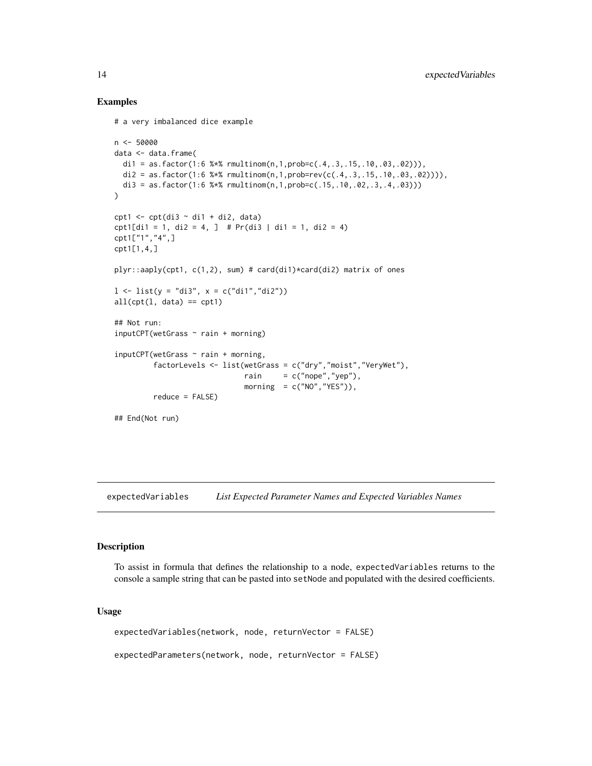# Examples

```
# a very imbalanced dice example
n <- 50000
data <- data.frame(
 di1 = as.factor(1:6 %*% rmultinom(n,1,prob=c(.4,.3,.15,.10,.03,.02))),
 di2 = as.factor(1:6 %*% rmultinom(n,1,prob=rev(c(.4,.3,.15,.10,.03,.02)))),
 di3 = as.factor(1:6 %*% rmultinom(n,1,prob=c(.15,.10,.02,.3,.4,.03)))
\mathcal{L}cpt1 \leftarrow cpt(di3 \sim di1 + di2, data)
cpt1[di1 = 1, di2 = 4, ] # Pr(di3 | di1 = 1, di2 = 4)
cpt1["1","4",]
cpt1[1,4,]
plyr::aaply(cpt1, c(1,2), sum) # card(di1)*card(di2) matrix of ones
1 \le -\text{list}(y = \text{"di3", x = c("di1", \text{"di2"}))}all(cpt(1, data) == cpt1)## Not run:
inputCPT(wetGrass ~ rain + morning)inputCPT(wetGrass ~ rain + morning,factorLevels <- list(wetGrass = c("dry","moist","VeryWet"),
                               rain = c("nope", "yep"),morning = c("NO", "YES"),
         reduce = FALSE)
## End(Not run)
```
expectedVariables *List Expected Parameter Names and Expected Variables Names*

#### Description

To assist in formula that defines the relationship to a node, expectedVariables returns to the console a sample string that can be pasted into setNode and populated with the desired coefficients.

#### Usage

expectedVariables(network, node, returnVector = FALSE) expectedParameters(network, node, returnVector = FALSE)

<span id="page-13-0"></span>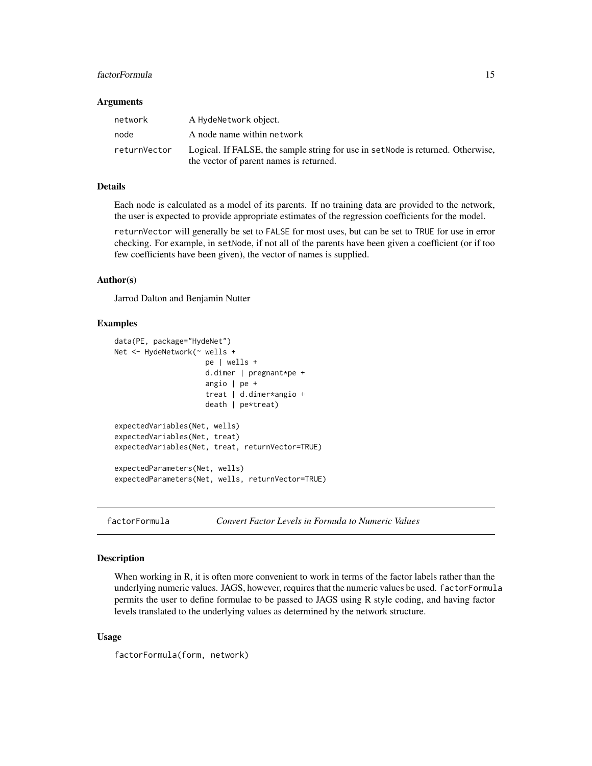# <span id="page-14-0"></span>factorFormula 15

#### **Arguments**

| network      | A HydeNetwork object.                                                            |
|--------------|----------------------------------------------------------------------------------|
| node         | A node name within network                                                       |
| returnVector | Logical. If FALSE, the sample string for use in set Node is returned. Otherwise, |
|              | the vector of parent names is returned.                                          |

# Details

Each node is calculated as a model of its parents. If no training data are provided to the network, the user is expected to provide appropriate estimates of the regression coefficients for the model.

returnVector will generally be set to FALSE for most uses, but can be set to TRUE for use in error checking. For example, in setNode, if not all of the parents have been given a coefficient (or if too few coefficients have been given), the vector of names is supplied.

#### Author(s)

Jarrod Dalton and Benjamin Nutter

### Examples

```
data(PE, package="HydeNet")
Net <- HydeNetwork(~ wells +
                     pe | wells +
                     d.dimer | pregnant*pe +
                     angio | pe +
                     treat | d.dimer*angio +
                     death | pe*treat)
expectedVariables(Net, wells)
expectedVariables(Net, treat)
expectedVariables(Net, treat, returnVector=TRUE)
expectedParameters(Net, wells)
expectedParameters(Net, wells, returnVector=TRUE)
```
factorFormula *Convert Factor Levels in Formula to Numeric Values*

# Description

When working in R, it is often more convenient to work in terms of the factor labels rather than the underlying numeric values. JAGS, however, requires that the numeric values be used. factorFormula permits the user to define formulae to be passed to JAGS using R style coding, and having factor levels translated to the underlying values as determined by the network structure.

#### Usage

```
factorFormula(form, network)
```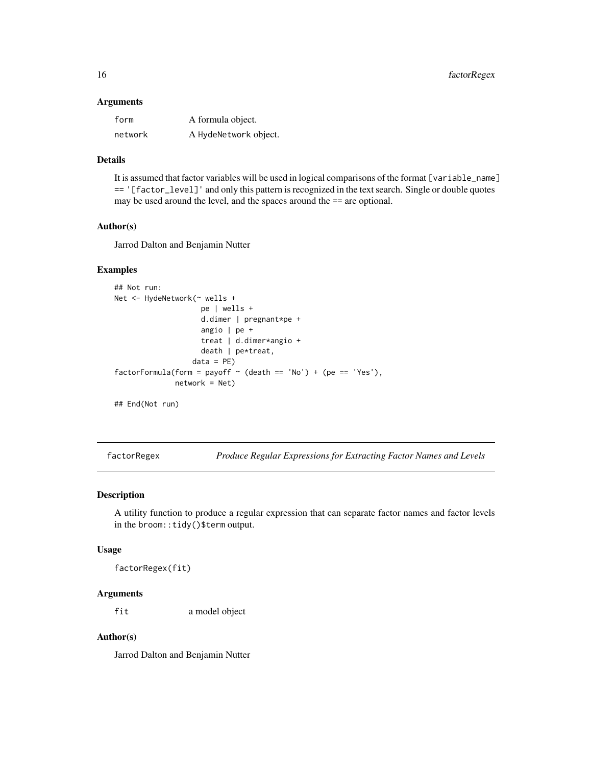#### <span id="page-15-0"></span>Arguments

| form    | A formula object.     |
|---------|-----------------------|
| network | A HydeNetwork object. |

# Details

It is assumed that factor variables will be used in logical comparisons of the format [variable\_name] == '[factor\_level]' and only this pattern is recognized in the text search. Single or double quotes may be used around the level, and the spaces around the == are optional.

#### Author(s)

Jarrod Dalton and Benjamin Nutter

# Examples

```
## Not run:
Net <- HydeNetwork(~ wells +
                    pe | wells +
                    d.dimer | pregnant*pe +
                    angio | pe +
                    treat | d.dimer*angio +
                    death | pe*treat,
                  data = PE)
factorFormula(form = payoff ~ (death == 'No') + (pe == 'Yes'),network = Net)
```
## End(Not run)

factorRegex *Produce Regular Expressions for Extracting Factor Names and Levels*

# Description

A utility function to produce a regular expression that can separate factor names and factor levels in the broom::tidy()\$term output.

#### Usage

factorRegex(fit)

#### Arguments

fit a model object

# Author(s)

Jarrod Dalton and Benjamin Nutter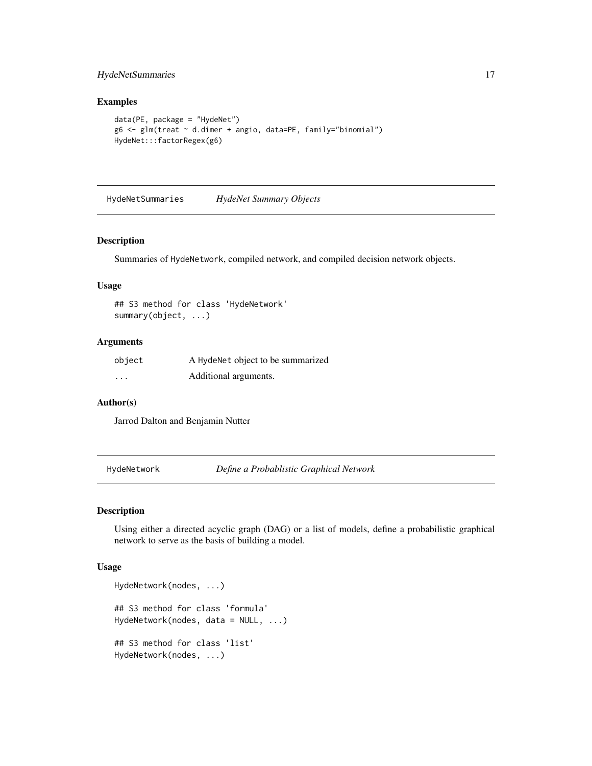# <span id="page-16-0"></span>HydeNetSummaries 17

#### Examples

```
data(PE, package = "HydeNet")
g6 <- glm(treat ~ d.dimer + angio, data=PE, family="binomial")
HydeNet:::factorRegex(g6)
```
HydeNetSummaries *HydeNet Summary Objects*

# Description

Summaries of HydeNetwork, compiled network, and compiled decision network objects.

#### Usage

## S3 method for class 'HydeNetwork' summary(object, ...)

#### Arguments

| object   | A HydeNet object to be summarized |
|----------|-----------------------------------|
| $\cdots$ | Additional arguments.             |

#### Author(s)

Jarrod Dalton and Benjamin Nutter

HydeNetwork *Define a Probablistic Graphical Network*

# Description

Using either a directed acyclic graph (DAG) or a list of models, define a probabilistic graphical network to serve as the basis of building a model.

#### Usage

```
HydeNetwork(nodes, ...)
## S3 method for class 'formula'
HydeNetwork(nodes, data = NULL, ...)
## S3 method for class 'list'
HydeNetwork(nodes, ...)
```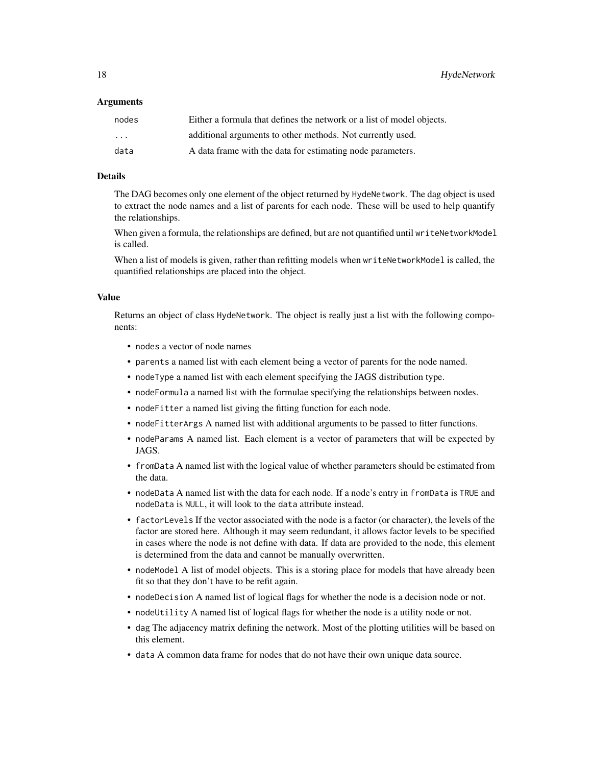18 HydeNetwork **HydeNetwork** 

#### Arguments

| nodes    | Either a formula that defines the network or a list of model objects. |
|----------|-----------------------------------------------------------------------|
| $\cdots$ | additional arguments to other methods. Not currently used.            |
| data     | A data frame with the data for estimating node parameters.            |

### Details

The DAG becomes only one element of the object returned by HydeNetwork. The dag object is used to extract the node names and a list of parents for each node. These will be used to help quantify the relationships.

When given a formula, the relationships are defined, but are not quantified until writeNetworkModel is called.

When a list of models is given, rather than refitting models when writeNetworkModel is called, the quantified relationships are placed into the object.

# Value

Returns an object of class HydeNetwork. The object is really just a list with the following components:

- nodes a vector of node names
- parents a named list with each element being a vector of parents for the node named.
- nodeType a named list with each element specifying the JAGS distribution type.
- nodeFormula a named list with the formulae specifying the relationships between nodes.
- nodeFitter a named list giving the fitting function for each node.
- nodeFitterArgs A named list with additional arguments to be passed to fitter functions.
- nodeParams A named list. Each element is a vector of parameters that will be expected by JAGS.
- fromData A named list with the logical value of whether parameters should be estimated from the data.
- nodeData A named list with the data for each node. If a node's entry in fromData is TRUE and nodeData is NULL, it will look to the data attribute instead.
- factorLevels If the vector associated with the node is a factor (or character), the levels of the factor are stored here. Although it may seem redundant, it allows factor levels to be specified in cases where the node is not define with data. If data are provided to the node, this element is determined from the data and cannot be manually overwritten.
- nodeModel A list of model objects. This is a storing place for models that have already been fit so that they don't have to be refit again.
- nodeDecision A named list of logical flags for whether the node is a decision node or not.
- nodeUtility A named list of logical flags for whether the node is a utility node or not.
- dag The adjacency matrix defining the network. Most of the plotting utilities will be based on this element.
- data A common data frame for nodes that do not have their own unique data source.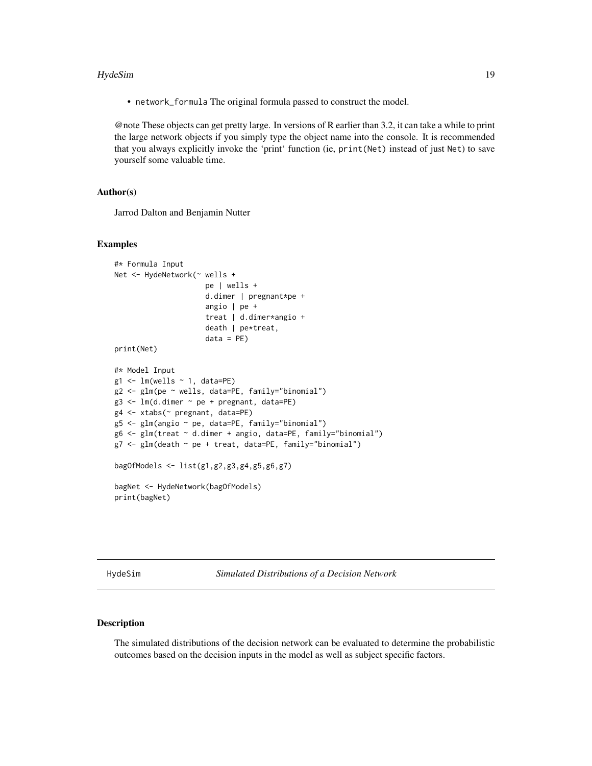#### <span id="page-18-0"></span>HydeSim 19

• network\_formula The original formula passed to construct the model.

@note These objects can get pretty large. In versions of R earlier than 3.2, it can take a while to print the large network objects if you simply type the object name into the console. It is recommended that you always explicitly invoke the 'print' function (ie, print(Net) instead of just Net) to save yourself some valuable time.

# Author(s)

Jarrod Dalton and Benjamin Nutter

#### Examples

```
#* Formula Input
Net <- HydeNetwork(~ wells +
                      pe | wells +
                      d.dimer | pregnant*pe +
                      angio | pe +
                      treat | d.dimer*angio +
                      death | pe*treat,
                      data = PE)
print(Net)
#* Model Input
g1 \leftarrow \text{lm}(wells \sim 1, data=PE)g2 <- glm(pe ~ wells, data=PE, family="binomial")
g3 \leq Im(d.dimer \sim pe + pregnant, data=PE)g4 <- xtabs(~ pregnant, data=PE)
g5 <- glm(angio ~ pe, data=PE, family="binomial")
g6 <- glm(treat ~ d.dimer + angio, data=PE, family="binomial")
g7 <- glm(death ~ pe + treat, data=PE, family="binomial")
bagOfModels <- list(g1,g2,g3,g4,g5,g6,g7)
bagNet <- HydeNetwork(bagOfModels)
print(bagNet)
```
HydeSim *Simulated Distributions of a Decision Network*

#### Description

The simulated distributions of the decision network can be evaluated to determine the probabilistic outcomes based on the decision inputs in the model as well as subject specific factors.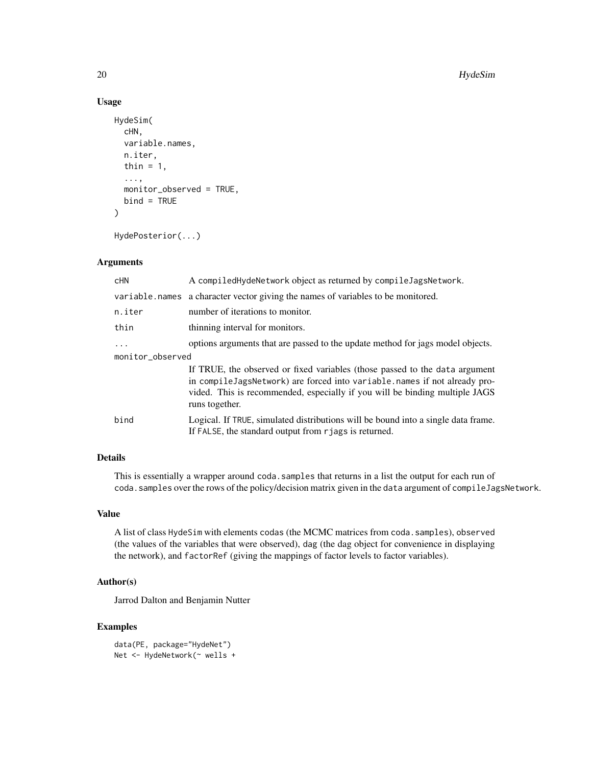# Usage

```
HydeSim(
  cHN,
  variable.names,
 n.iter,
  thin = 1,
  ...,
 monitor_observed = TRUE,
 bind = TRUE)
HydePosterior(...)
```
# Arguments

| cHN              | A compiledHydeNetwork object as returned by compileJagsNetwork.                                                                                                                                                                                           |  |
|------------------|-----------------------------------------------------------------------------------------------------------------------------------------------------------------------------------------------------------------------------------------------------------|--|
|                  | variable names a character vector giving the names of variables to be monitored.                                                                                                                                                                          |  |
| n.iter           | number of iterations to monitor.                                                                                                                                                                                                                          |  |
| thin             | thinning interval for monitors.                                                                                                                                                                                                                           |  |
| $\ddots$ .       | options arguments that are passed to the update method for jags model objects.                                                                                                                                                                            |  |
| monitor_observed |                                                                                                                                                                                                                                                           |  |
|                  | If TRUE, the observed or fixed variables (those passed to the data argument<br>in compileJagsNetwork) are forced into variable.names if not already pro-<br>vided. This is recommended, especially if you will be binding multiple JAGS<br>runs together. |  |
| bind             | Logical. If TRUE, simulated distributions will be bound into a single data frame.<br>If FALSE, the standard output from rjags is returned.                                                                                                                |  |

# Details

This is essentially a wrapper around coda.samples that returns in a list the output for each run of coda.samples over the rows of the policy/decision matrix given in the data argument of compileJagsNetwork.

# Value

A list of class HydeSim with elements codas (the MCMC matrices from coda.samples), observed (the values of the variables that were observed), dag (the dag object for convenience in displaying the network), and factorRef (giving the mappings of factor levels to factor variables).

#### Author(s)

Jarrod Dalton and Benjamin Nutter

# Examples

```
data(PE, package="HydeNet")
Net <- HydeNetwork(~ wells +
```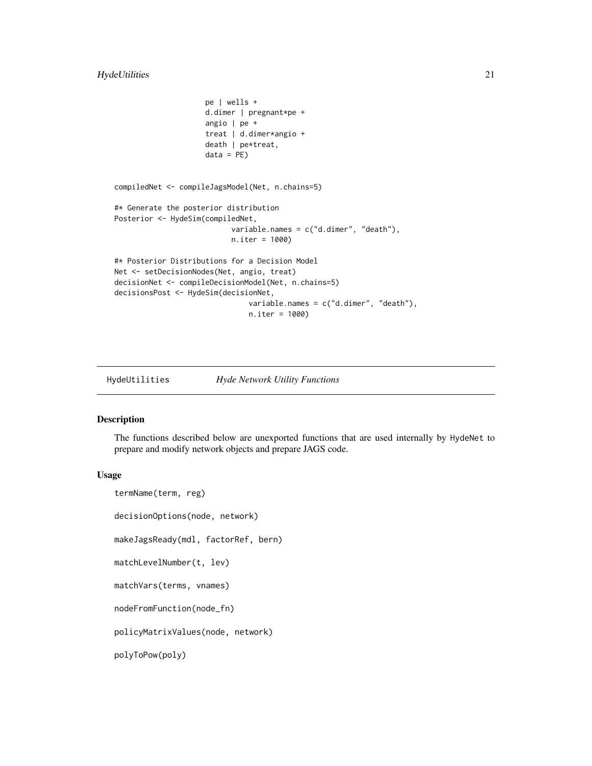```
pe | wells +
                     d.dimer | pregnant*pe +
                     angio | pe +
                     treat | d.dimer*angio +
                     death | pe*treat,
                     data = PE)
compiledNet <- compileJagsModel(Net, n.chains=5)
#* Generate the posterior distribution
Posterior <- HydeSim(compiledNet,
                           variable.names = c("d.dimer", "death"),
                           n.iter = 1000)
#* Posterior Distributions for a Decision Model
Net <- setDecisionNodes(Net, angio, treat)
decisionNet <- compileDecisionModel(Net, n.chains=5)
decisionsPost <- HydeSim(decisionNet,
                               variable.names = c("d.dimer", "death"),
                               n.iter = 1000)
```

```
HydeUtilities Hyde Network Utility Functions
```
### Description

The functions described below are unexported functions that are used internally by HydeNet to prepare and modify network objects and prepare JAGS code.

#### Usage

```
termName(term, reg)
decisionOptions(node, network)
makeJagsReady(mdl, factorRef, bern)
matchLevelNumber(t, lev)
matchVars(terms, vnames)
nodeFromFunction(node_fn)
policyMatrixValues(node, network)
polyToPow(poly)
```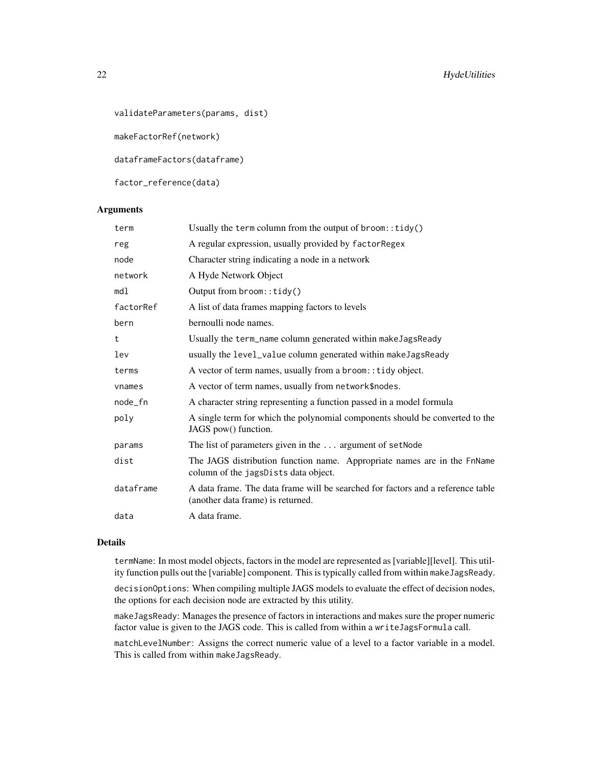# 22 HydeUtilities

validateParameters(params, dist)

makeFactorRef(network)

dataframeFactors(dataframe)

factor\_reference(data)

#### Arguments

| term      | Usually the term column from the output of $b$ room::tidy()                                                          |
|-----------|----------------------------------------------------------------------------------------------------------------------|
| reg       | A regular expression, usually provided by factorRegex                                                                |
| node      | Character string indicating a node in a network                                                                      |
| network   | A Hyde Network Object                                                                                                |
| md1       | Output from broom::tidy()                                                                                            |
| factorRef | A list of data frames mapping factors to levels                                                                      |
| bern      | bernoulli node names.                                                                                                |
| t         | Usually the term_name column generated within makeJagsReady                                                          |
| lev       | usually the level_value column generated within makeJagsReady                                                        |
| terms     | A vector of term names, usually from a broom: : tidy object.                                                         |
| vnames    | A vector of term names, usually from network\$nodes.                                                                 |
| node_fn   | A character string representing a function passed in a model formula                                                 |
| poly      | A single term for which the polynomial components should be converted to the<br>JAGS pow() function.                 |
| params    | The list of parameters given in the  argument of setNode                                                             |
| dist      | The JAGS distribution function name. Appropriate names are in the FnName<br>column of the jagsDists data object.     |
| dataframe | A data frame. The data frame will be searched for factors and a reference table<br>(another data frame) is returned. |
| data      | A data frame.                                                                                                        |

# Details

termName: In most model objects, factors in the model are represented as [variable][level]. This utility function pulls out the [variable] component. This is typically called from within makeJagsReady.

decisionOptions: When compiling multiple JAGS models to evaluate the effect of decision nodes, the options for each decision node are extracted by this utility.

makeJagsReady: Manages the presence of factors in interactions and makes sure the proper numeric factor value is given to the JAGS code. This is called from within a writeJagsFormula call.

matchLevelNumber: Assigns the correct numeric value of a level to a factor variable in a model. This is called from within makeJagsReady.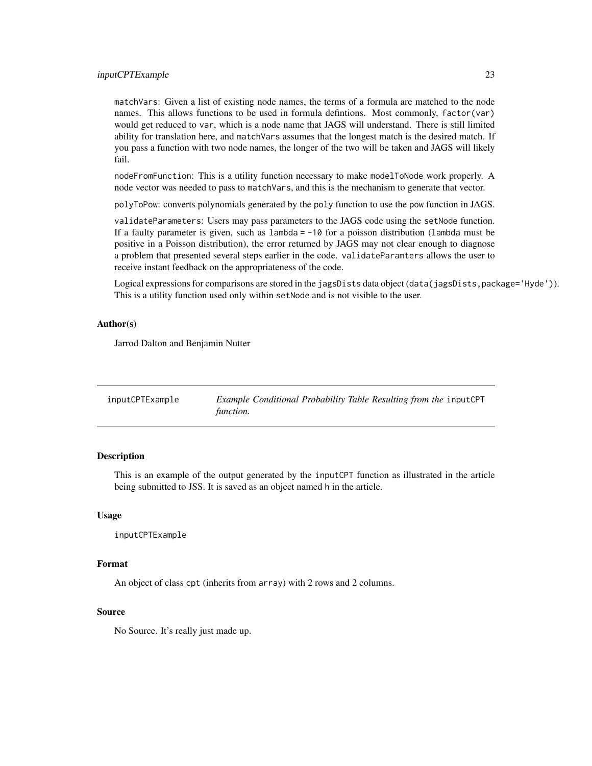#### <span id="page-22-0"></span>inputCPTExample 23

matchVars: Given a list of existing node names, the terms of a formula are matched to the node names. This allows functions to be used in formula defintions. Most commonly, factor(var) would get reduced to var, which is a node name that JAGS will understand. There is still limited ability for translation here, and matchVars assumes that the longest match is the desired match. If you pass a function with two node names, the longer of the two will be taken and JAGS will likely fail.

nodeFromFunction: This is a utility function necessary to make modelToNode work properly. A node vector was needed to pass to matchVars, and this is the mechanism to generate that vector.

polyToPow: converts polynomials generated by the poly function to use the pow function in JAGS.

validateParameters: Users may pass parameters to the JAGS code using the setNode function. If a faulty parameter is given, such as lambda = -10 for a poisson distribution (lambda must be positive in a Poisson distribution), the error returned by JAGS may not clear enough to diagnose a problem that presented several steps earlier in the code. validateParamters allows the user to receive instant feedback on the appropriateness of the code.

Logical expressions for comparisons are stored in the jagsDists data object (data(jagsDists,package='Hyde')). This is a utility function used only within setNode and is not visible to the user.

# Author(s)

Jarrod Dalton and Benjamin Nutter

| inputCPTExample | Example Conditional Probability Table Resulting from the inputCPT |
|-----------------|-------------------------------------------------------------------|
|                 | function.                                                         |

# **Description**

This is an example of the output generated by the inputCPT function as illustrated in the article being submitted to JSS. It is saved as an object named h in the article.

#### Usage

```
inputCPTExample
```
#### Format

An object of class cpt (inherits from array) with 2 rows and 2 columns.

#### Source

No Source. It's really just made up.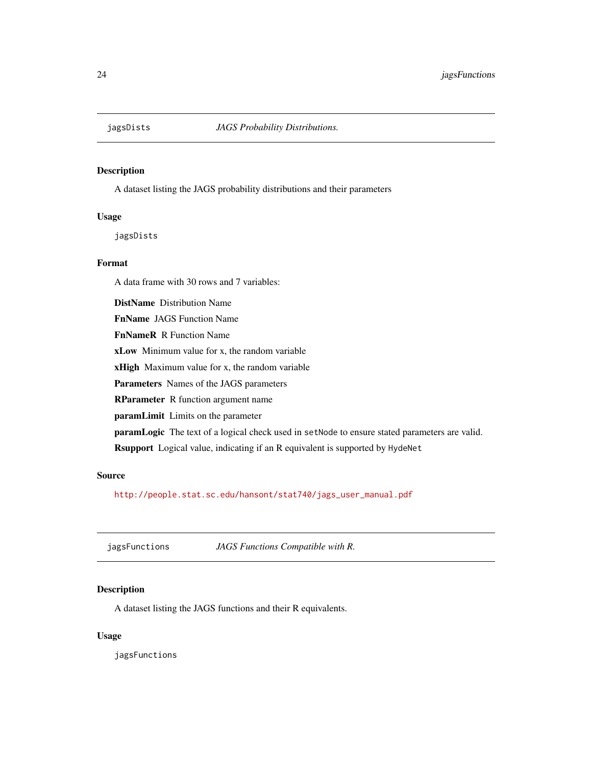<span id="page-23-0"></span>

# Description

A dataset listing the JAGS probability distributions and their parameters

#### Usage

jagsDists

# Format

A data frame with 30 rows and 7 variables:

DistName Distribution Name

FnName JAGS Function Name

FnNameR R Function Name

xLow Minimum value for x, the random variable

xHigh Maximum value for x, the random variable

Parameters Names of the JAGS parameters

RParameter R function argument name

paramLimit Limits on the parameter

paramLogic The text of a logical check used in setNode to ensure stated parameters are valid.

Rsupport Logical value, indicating if an R equivalent is supported by HydeNet

# Source

[http://people.stat.sc.edu/hansont/stat740/jags\\_user\\_manual.pdf](http://people.stat.sc.edu/hansont/stat740/jags_user_manual.pdf)

jagsFunctions *JAGS Functions Compatible with R.*

# Description

A dataset listing the JAGS functions and their R equivalents.

#### Usage

jagsFunctions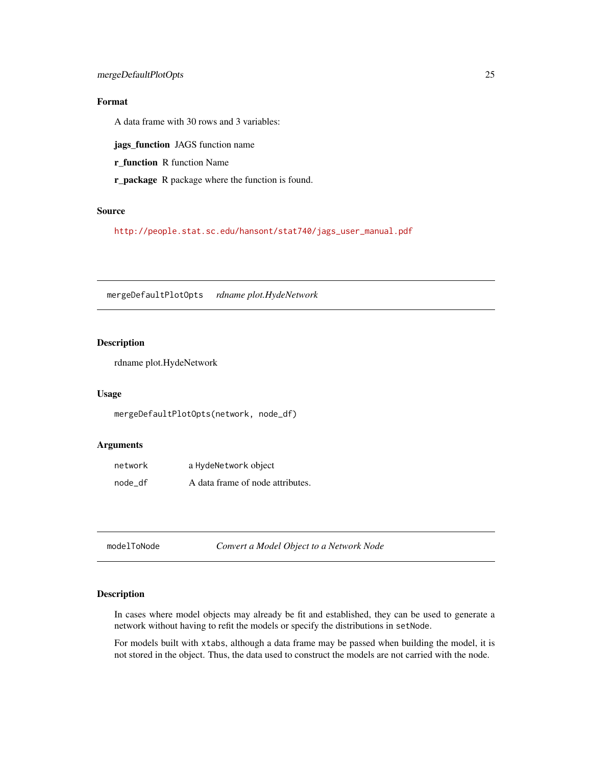# <span id="page-24-0"></span>Format

A data frame with 30 rows and 3 variables:

jags\_function JAGS function name

r\_function R function Name

r\_package R package where the function is found.

# Source

[http://people.stat.sc.edu/hansont/stat740/jags\\_user\\_manual.pdf](http://people.stat.sc.edu/hansont/stat740/jags_user_manual.pdf)

mergeDefaultPlotOpts *rdname plot.HydeNetwork*

# Description

rdname plot.HydeNetwork

# Usage

mergeDefaultPlotOpts(network, node\_df)

# Arguments

| network | a HydeNetwork object             |
|---------|----------------------------------|
| node df | A data frame of node attributes. |

modelToNode *Convert a Model Object to a Network Node*

#### Description

In cases where model objects may already be fit and established, they can be used to generate a network without having to refit the models or specify the distributions in setNode.

For models built with xtabs, although a data frame may be passed when building the model, it is not stored in the object. Thus, the data used to construct the models are not carried with the node.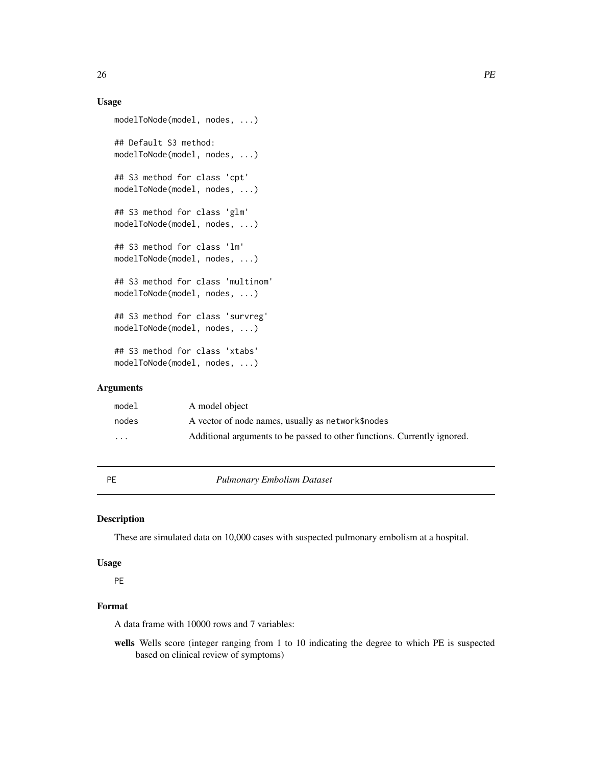# <span id="page-25-0"></span>Usage

```
modelToNode(model, nodes, ...)
## Default S3 method:
modelToNode(model, nodes, ...)
## S3 method for class 'cpt'
modelToNode(model, nodes, ...)
## S3 method for class 'glm'
modelToNode(model, nodes, ...)
## S3 method for class 'lm'
modelToNode(model, nodes, ...)
## S3 method for class 'multinom'
modelToNode(model, nodes, ...)
## S3 method for class 'survreg'
modelToNode(model, nodes, ...)
## S3 method for class 'xtabs'
modelToNode(model, nodes, ...)
```
# Arguments

| model    | A model object                                                           |
|----------|--------------------------------------------------------------------------|
| nodes    | A vector of node names, usually as network\$ nodes                       |
| $\cdots$ | Additional arguments to be passed to other functions. Currently ignored. |

PE *Pulmonary Embolism Dataset*

# Description

These are simulated data on 10,000 cases with suspected pulmonary embolism at a hospital.

#### Usage

PE

# Format

A data frame with 10000 rows and 7 variables:

wells Wells score (integer ranging from 1 to 10 indicating the degree to which PE is suspected based on clinical review of symptoms)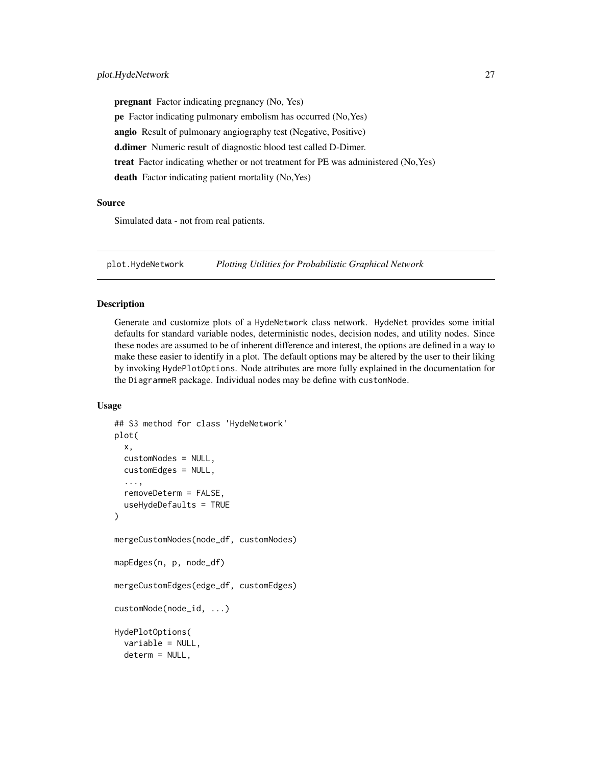<span id="page-26-0"></span>pregnant Factor indicating pregnancy (No, Yes) pe Factor indicating pulmonary embolism has occurred (No,Yes) angio Result of pulmonary angiography test (Negative, Positive) d.dimer Numeric result of diagnostic blood test called D-Dimer. treat Factor indicating whether or not treatment for PE was administered (No,Yes) death Factor indicating patient mortality (No, Yes)

#### Source

Simulated data - not from real patients.

plot.HydeNetwork *Plotting Utilities for Probabilistic Graphical Network*

#### Description

Generate and customize plots of a HydeNetwork class network. HydeNet provides some initial defaults for standard variable nodes, deterministic nodes, decision nodes, and utility nodes. Since these nodes are assumed to be of inherent difference and interest, the options are defined in a way to make these easier to identify in a plot. The default options may be altered by the user to their liking by invoking HydePlotOptions. Node attributes are more fully explained in the documentation for the DiagrammeR package. Individual nodes may be define with customNode.

#### Usage

```
## S3 method for class 'HydeNetwork'
plot(
 x,
  customNodes = NULL,
  customEdges = NULL,
  ...,
  removeDeterm = FALSE,
  useHydeDefaults = TRUE
)
mergeCustomNodes(node_df, customNodes)
mapEdges(n, p, node_df)
mergeCustomEdges(edge_df, customEdges)
customNode(node_id, ...)
HydePlotOptions(
  variable = NULL,
  determ = NULL,
```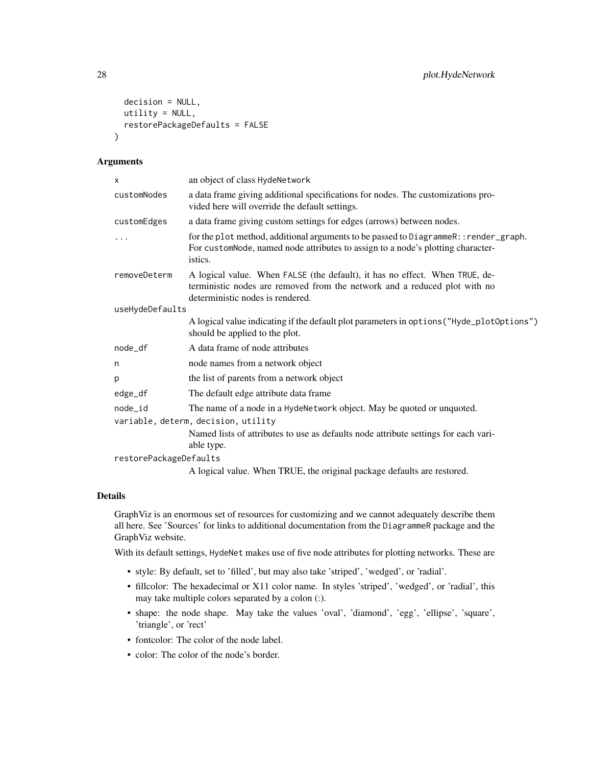```
decision = NULL,
  utility = NULL,
  restorePackageDefaults = FALSE
\lambda
```
# Arguments

| X                      | an object of class HydeNetwork                                                                                                                                                               |  |
|------------------------|----------------------------------------------------------------------------------------------------------------------------------------------------------------------------------------------|--|
| customNodes            | a data frame giving additional specifications for nodes. The customizations pro-<br>vided here will override the default settings.                                                           |  |
| customEdges            | a data frame giving custom settings for edges (arrows) between nodes.                                                                                                                        |  |
| .                      | for the plot method, additional arguments to be passed to DiagrammeR:: render_graph.<br>For customNode, named node attributes to assign to a node's plotting character-<br>istics.           |  |
| removeDeterm           | A logical value. When FALSE (the default), it has no effect. When TRUE, de-<br>terministic nodes are removed from the network and a reduced plot with no<br>deterministic nodes is rendered. |  |
| useHydeDefaults        |                                                                                                                                                                                              |  |
|                        | A logical value indicating if the default plot parameters in options ("Hyde_plot0ptions")<br>should be applied to the plot.                                                                  |  |
| node_df                | A data frame of node attributes                                                                                                                                                              |  |
| n                      | node names from a network object                                                                                                                                                             |  |
| p                      | the list of parents from a network object                                                                                                                                                    |  |
| edge_df                | The default edge attribute data frame                                                                                                                                                        |  |
| node_id                | The name of a node in a HydeNetwork object. May be quoted or unquoted.                                                                                                                       |  |
|                        | variable, determ, decision, utility                                                                                                                                                          |  |
|                        | Named lists of attributes to use as defaults node attribute settings for each vari-<br>able type.                                                                                            |  |
| restorePackageDefaults |                                                                                                                                                                                              |  |
|                        | A logical value. When TRUE, the original package defaults are restored.                                                                                                                      |  |

# Details

GraphViz is an enormous set of resources for customizing and we cannot adequately describe them all here. See 'Sources' for links to additional documentation from the DiagrammeR package and the GraphViz website.

With its default settings, HydeNet makes use of five node attributes for plotting networks. These are

- style: By default, set to 'filled', but may also take 'striped', 'wedged', or 'radial'.
- fillcolor: The hexadecimal or X11 color name. In styles 'striped', 'wedged', or 'radial', this may take multiple colors separated by a colon (:).
- shape: the node shape. May take the values 'oval', 'diamond', 'egg', 'ellipse', 'square', 'triangle', or 'rect'
- fontcolor: The color of the node label.
- color: The color of the node's border.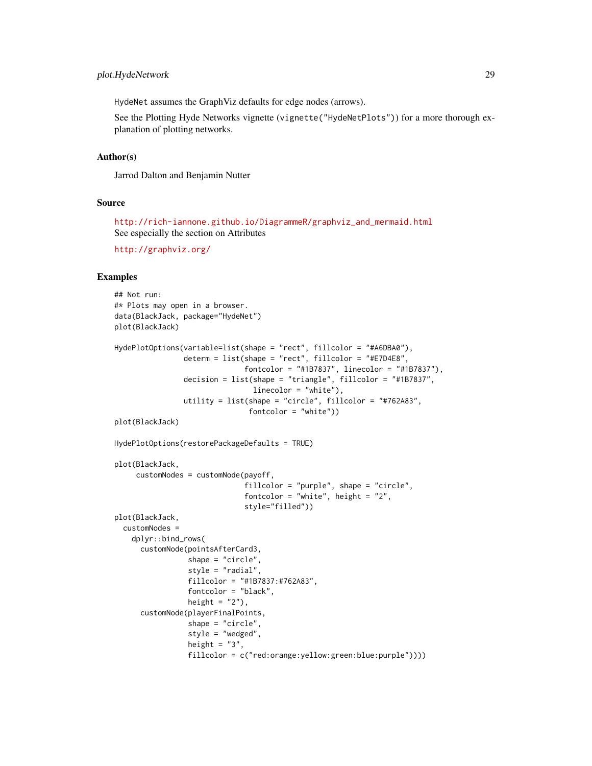HydeNet assumes the GraphViz defaults for edge nodes (arrows).

See the Plotting Hyde Networks vignette (vignette("HydeNetPlots")) for a more thorough explanation of plotting networks.

#### Author(s)

Jarrod Dalton and Benjamin Nutter

#### Source

[http://rich-iannone.github.io/DiagrammeR/graphviz\\_and\\_mermaid.html](http://rich-iannone.github.io/DiagrammeR/graphviz_and_mermaid.html) See especially the section on Attributes

<http://graphviz.org/>

# Examples

```
## Not run:
#* Plots may open in a browser.
data(BlackJack, package="HydeNet")
plot(BlackJack)
HydePlotOptions(variable=list(shape = "rect", fillcolor = "#A6DBA0"),
                determ = list(shape = "rect", fillcolor = "#E7D4E8",
                              fontcolor = "#1B7837", linecolor = "#1B7837"),
                decision = list(shape = "triangle", fillcolor = "#1B7837",
                                linecolor = "white"),
                utility = list(shape = "circle", fillcolor = "#762A83",
                               fontcolor = "white"))
plot(BlackJack)
HydePlotOptions(restorePackageDefaults = TRUE)
plot(BlackJack,
     customNodes = customNode(payoff,
                              fillcolor = "purple", shape = "circle",
                              fontcolor = "white", height = "2",
                              style="filled"))
plot(BlackJack,
 customNodes =
    dplyr::bind_rows(
     customNode(pointsAfterCard3,
                 shape = "circle",
                 style = "radial",
                 fillcolor = "#1B7837:#762A83",
                 fontcolor = "black",
                 height = "2"),
     customNode(playerFinalPoints,
                 shape = "circle",
                 style = "wedged",
                 height = "3",fillcolor = c("red:orange:yellow:green:blue:purple"))))
```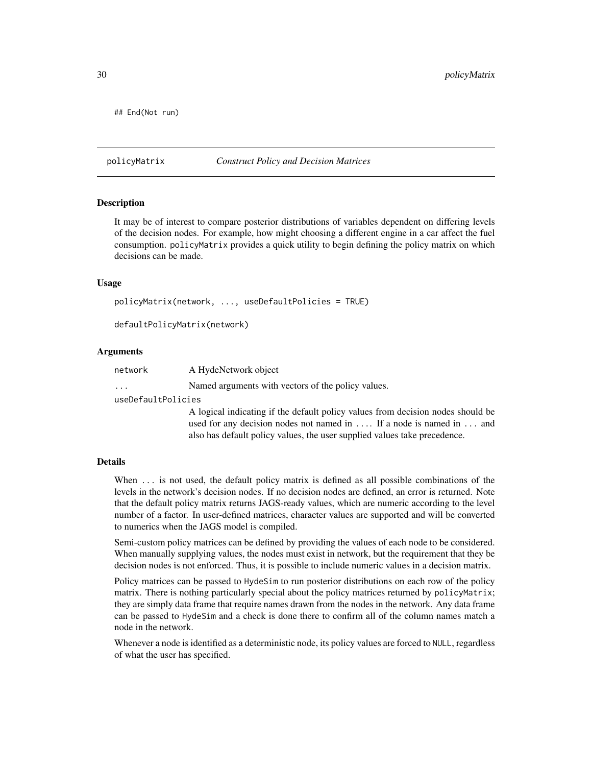<span id="page-29-0"></span>## End(Not run)

#### <span id="page-29-1"></span>policyMatrix *Construct Policy and Decision Matrices*

#### Description

It may be of interest to compare posterior distributions of variables dependent on differing levels of the decision nodes. For example, how might choosing a different engine in a car affect the fuel consumption. policyMatrix provides a quick utility to begin defining the policy matrix on which decisions can be made.

#### Usage

```
policyMatrix(network, ..., useDefaultPolicies = TRUE)
```
defaultPolicyMatrix(network)

#### Arguments

| network | A HydeNetwork object |  |  |
|---------|----------------------|--|--|
|         |                      |  |  |

... Named arguments with vectors of the policy values.

useDefaultPolicies

A logical indicating if the default policy values from decision nodes should be used for any decision nodes not named in .... If a node is named in ... and also has default policy values, the user supplied values take precedence.

#### Details

When  $\ldots$  is not used, the default policy matrix is defined as all possible combinations of the levels in the network's decision nodes. If no decision nodes are defined, an error is returned. Note that the default policy matrix returns JAGS-ready values, which are numeric according to the level number of a factor. In user-defined matrices, character values are supported and will be converted to numerics when the JAGS model is compiled.

Semi-custom policy matrices can be defined by providing the values of each node to be considered. When manually supplying values, the nodes must exist in network, but the requirement that they be decision nodes is not enforced. Thus, it is possible to include numeric values in a decision matrix.

Policy matrices can be passed to HydeSim to run posterior distributions on each row of the policy matrix. There is nothing particularly special about the policy matrices returned by policyMatrix; they are simply data frame that require names drawn from the nodes in the network. Any data frame can be passed to HydeSim and a check is done there to confirm all of the column names match a node in the network.

Whenever a node is identified as a deterministic node, its policy values are forced to NULL, regardless of what the user has specified.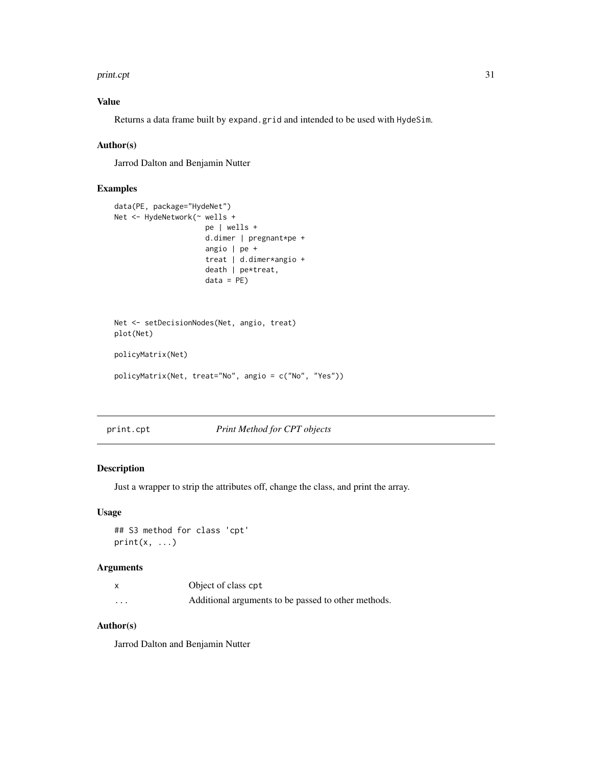#### <span id="page-30-0"></span>print.cpt 31

# Value

Returns a data frame built by expand.grid and intended to be used with HydeSim.

#### Author(s)

Jarrod Dalton and Benjamin Nutter

#### Examples

```
data(PE, package="HydeNet")
Net <- HydeNetwork(~ wells +
                     pe | wells +
                     d.dimer | pregnant*pe +
                     angio | pe +
                     treat | d.dimer*angio +
                     death | pe*treat,
                     data = PE)
Net <- setDecisionNodes(Net, angio, treat)
plot(Net)
policyMatrix(Net)
policyMatrix(Net, treat="No", angio = c("No", "Yes"))
```
print.cpt *Print Method for CPT objects*

# Description

Just a wrapper to strip the attributes off, change the class, and print the array.

# Usage

```
## S3 method for class 'cpt'
print(x, \ldots)
```
#### Arguments

|          | Object of class cpt                                 |
|----------|-----------------------------------------------------|
| $\cdots$ | Additional arguments to be passed to other methods. |

# Author(s)

Jarrod Dalton and Benjamin Nutter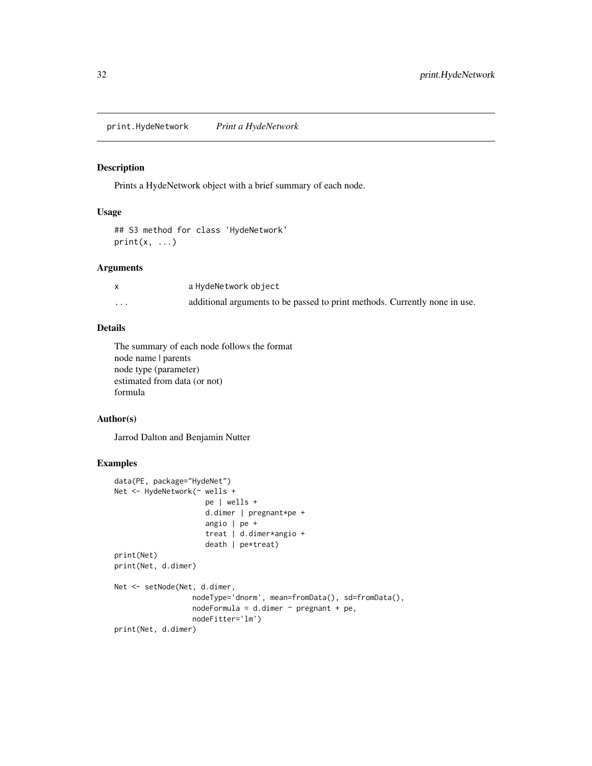<span id="page-31-0"></span>print.HydeNetwork *Print a HydeNetwork*

# Description

Prints a HydeNetwork object with a brief summary of each node.

# Usage

```
## S3 method for class 'HydeNetwork'
print(x, \ldots)
```
#### Arguments

|          | a HydeNetwork object                                                       |
|----------|----------------------------------------------------------------------------|
| $\cdots$ | additional arguments to be passed to print methods. Currently none in use. |

# Details

The summary of each node follows the format node name | parents node type (parameter) estimated from data (or not) formula

#### Author(s)

Jarrod Dalton and Benjamin Nutter

# Examples

```
data(PE, package="HydeNet")
Net <- HydeNetwork(~ wells +
                    pe | wells +
                     d.dimer | pregnant*pe +
                     angio | pe +
                     treat | d.dimer*angio +
                     death | pe*treat)
print(Net)
print(Net, d.dimer)
Net <- setNode(Net, d.dimer,
                  nodeType='dnorm', mean=fromData(), sd=fromData(),
                  nodeFormula = d.dimer ~ pregnant + pe,nodeFitter='lm')
print(Net, d.dimer)
```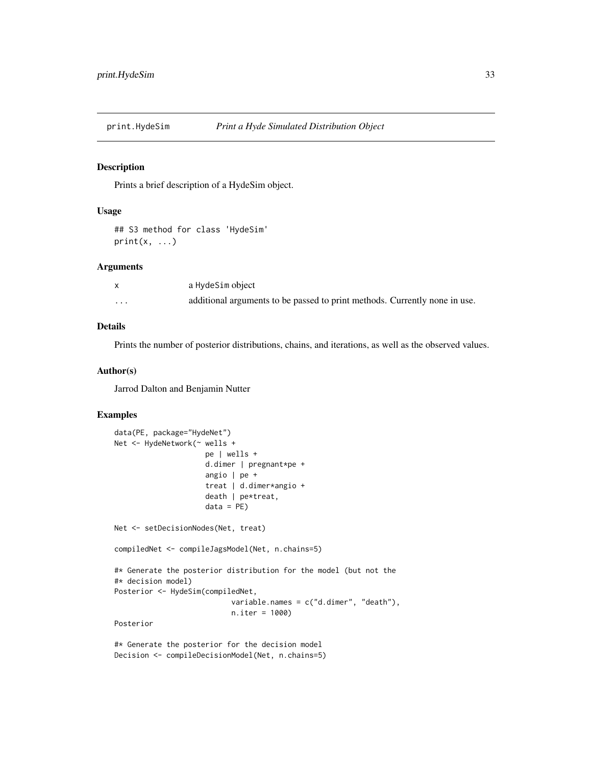<span id="page-32-0"></span>

#### Description

Prints a brief description of a HydeSim object.

#### Usage

```
## S3 method for class 'HydeSim'
print(x, \ldots)
```
#### Arguments

|          | a HydeSim object                                                           |
|----------|----------------------------------------------------------------------------|
| $\cdots$ | additional arguments to be passed to print methods. Currently none in use. |

#### Details

Prints the number of posterior distributions, chains, and iterations, as well as the observed values.

#### Author(s)

Jarrod Dalton and Benjamin Nutter

# Examples

```
data(PE, package="HydeNet")
Net <- HydeNetwork(~ wells +
                     pe | wells +
                     d.dimer | pregnant*pe +
                     angio | pe +
                     treat | d.dimer*angio +
                     death | pe*treat,
                     data = PE)
Net <- setDecisionNodes(Net, treat)
compiledNet <- compileJagsModel(Net, n.chains=5)
#* Generate the posterior distribution for the model (but not the
#* decision model)
Posterior <- HydeSim(compiledNet,
                           variable.names = c("d.dimer", "death"),
                           n.iter = 1000)
Posterior
```
#\* Generate the posterior for the decision model Decision <- compileDecisionModel(Net, n.chains=5)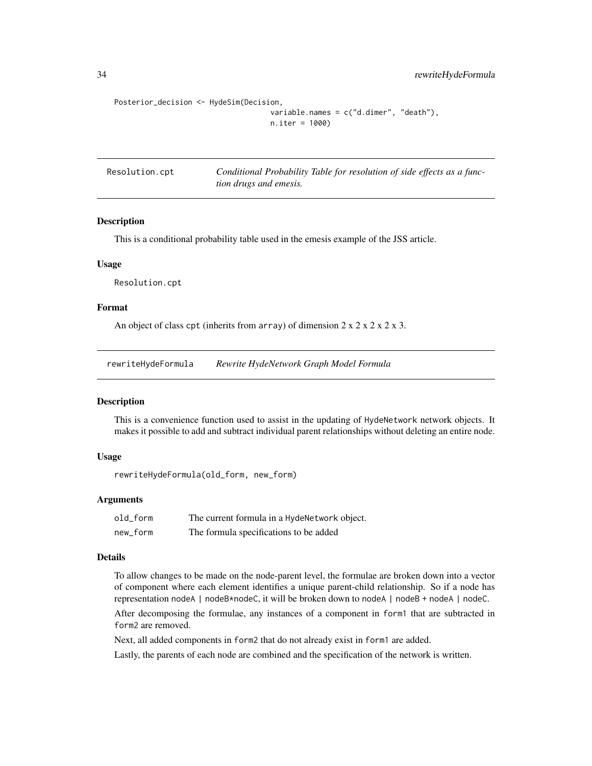```
Posterior_decision <- HydeSim(Decision,
```

```
variable.names = c("d.dimer", "death"),
n.iter = 1000)
```
Resolution.cpt *Conditional Probability Table for resolution of side effects as a function drugs and emesis.*

#### Description

This is a conditional probability table used in the emesis example of the JSS article.

#### Usage

Resolution.cpt

#### Format

An object of class cpt (inherits from array) of dimension  $2 \times 2 \times 2 \times 2 \times 3$ .

rewriteHydeFormula *Rewrite HydeNetwork Graph Model Formula*

#### Description

This is a convenience function used to assist in the updating of HydeNetwork network objects. It makes it possible to add and subtract individual parent relationships without deleting an entire node.

#### Usage

```
rewriteHydeFormula(old_form, new_form)
```
#### **Arguments**

| old form | The current formula in a HydeNetwork object. |
|----------|----------------------------------------------|
| new form | The formula specifications to be added       |

# Details

To allow changes to be made on the node-parent level, the formulae are broken down into a vector of component where each element identifies a unique parent-child relationship. So if a node has representation nodeA | nodeB\*nodeC, it will be broken down to nodeA | nodeB + nodeA | nodeC.

After decomposing the formulae, any instances of a component in form1 that are subtracted in form2 are removed.

Next, all added components in form2 that do not already exist in form1 are added.

Lastly, the parents of each node are combined and the specification of the network is written.

<span id="page-33-0"></span>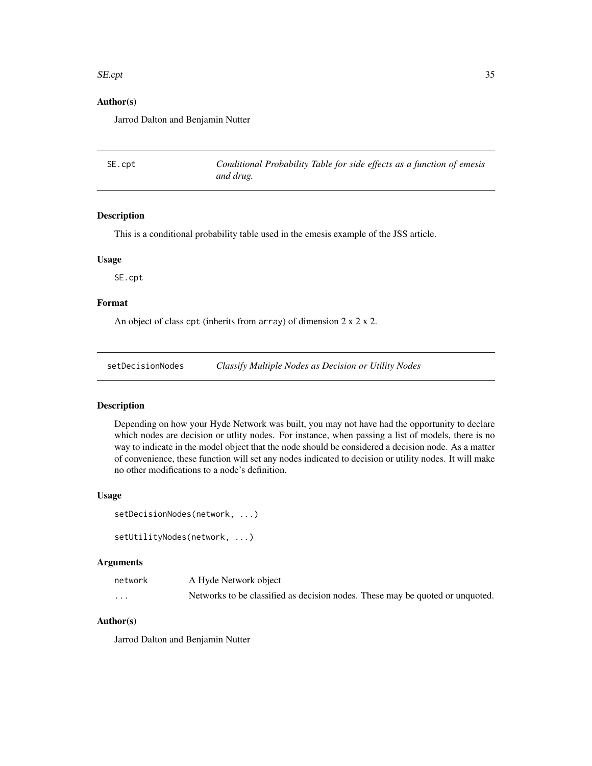#### <span id="page-34-0"></span> $SE{\cdot}$ pt 35

# Author(s)

Jarrod Dalton and Benjamin Nutter

SE.cpt *Conditional Probability Table for side effects as a function of emesis and drug.*

# Description

This is a conditional probability table used in the emesis example of the JSS article.

#### Usage

SE.cpt

#### Format

An object of class cpt (inherits from array) of dimension  $2 \times 2 \times 2$ .

setDecisionNodes *Classify Multiple Nodes as Decision or Utility Nodes*

#### Description

Depending on how your Hyde Network was built, you may not have had the opportunity to declare which nodes are decision or utlity nodes. For instance, when passing a list of models, there is no way to indicate in the model object that the node should be considered a decision node. As a matter of convenience, these function will set any nodes indicated to decision or utility nodes. It will make no other modifications to a node's definition.

#### Usage

```
setDecisionNodes(network, ...)
setUtilityNodes(network, ...)
```
#### Arguments

| network  | A Hyde Network object                                                         |
|----------|-------------------------------------------------------------------------------|
| $\cdots$ | Networks to be classified as decision nodes. These may be quoted or unquoted. |

# Author(s)

Jarrod Dalton and Benjamin Nutter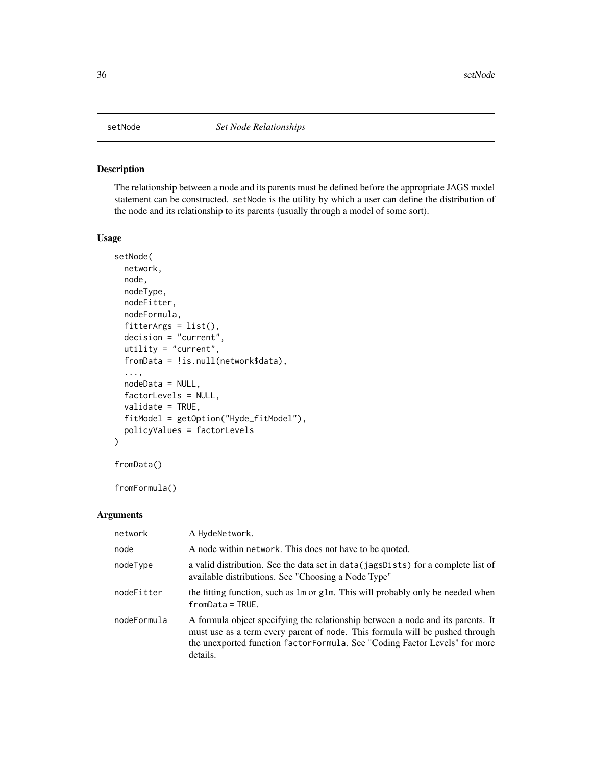<span id="page-35-0"></span>

# Description

The relationship between a node and its parents must be defined before the appropriate JAGS model statement can be constructed. setNode is the utility by which a user can define the distribution of the node and its relationship to its parents (usually through a model of some sort).

#### Usage

```
setNode(
 network,
 node,
 nodeType,
 nodeFitter,
 nodeFormula,
 fitterArgs = list(),decision = "current",
 utility = "current",
  fromData = !is.null(network$data),
  ...,
 nodeData = NULL,
 factorLevels = NULL,
  validate = TRUE,
 fitModel = getOption("Hyde_fitModel"),
 policyValues = factorLevels
\mathcal{E}
```
fromData()

fromFormula()

#### Arguments

| network     | A HydeNetwork.                                                                                                                                                                                                                                             |
|-------------|------------------------------------------------------------------------------------------------------------------------------------------------------------------------------------------------------------------------------------------------------------|
| node        | A node within network. This does not have to be quoted.                                                                                                                                                                                                    |
| nodeType    | a valid distribution. See the data set in data (jagsDists) for a complete list of<br>available distributions. See "Choosing a Node Type"                                                                                                                   |
| nodeFitter  | the fitting function, such as 1m or g1m. This will probably only be needed when<br>$from Data = TRUE.$                                                                                                                                                     |
| nodeFormula | A formula object specifying the relationship between a node and its parents. It<br>must use as a term every parent of node. This formula will be pushed through<br>the unexported function factor Formula. See "Coding Factor Levels" for more<br>details. |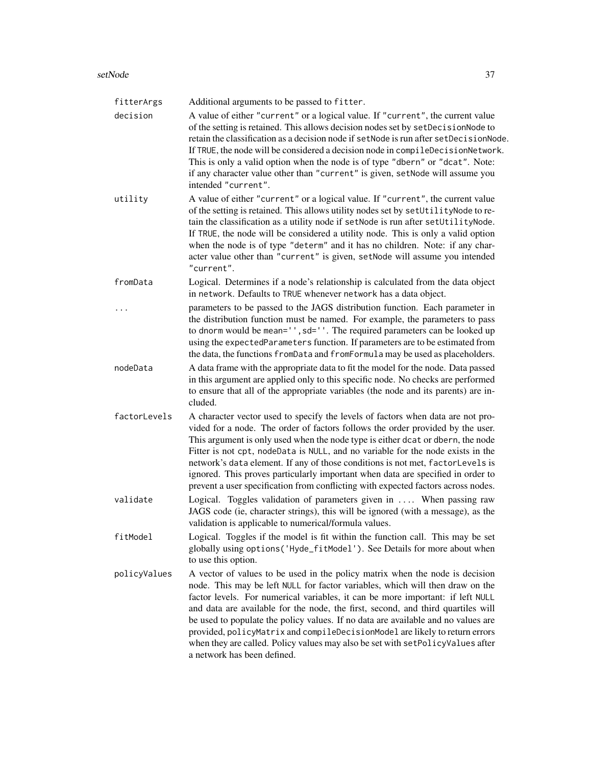| fitterArgs   | Additional arguments to be passed to fitter.                                                                                                                                                                                                                                                                                                                                                                                                                                                                                                                                                                             |
|--------------|--------------------------------------------------------------------------------------------------------------------------------------------------------------------------------------------------------------------------------------------------------------------------------------------------------------------------------------------------------------------------------------------------------------------------------------------------------------------------------------------------------------------------------------------------------------------------------------------------------------------------|
| decision     | A value of either "current" or a logical value. If "current", the current value<br>of the setting is retained. This allows decision nodes set by setDecisionNode to<br>retain the classification as a decision node if setNode is run after setDecisionNode.<br>If TRUE, the node will be considered a decision node in compileDecisionNetwork.<br>This is only a valid option when the node is of type "dbern" or "dcat". Note:<br>if any character value other than "current" is given, setNode will assume you<br>intended "current".                                                                                 |
| utility      | A value of either "current" or a logical value. If "current", the current value<br>of the setting is retained. This allows utility nodes set by setUtilityNode to re-<br>tain the classification as a utility node if setNode is run after setUtilityNode.<br>If TRUE, the node will be considered a utility node. This is only a valid option<br>when the node is of type "determ" and it has no children. Note: if any char-<br>acter value other than "current" is given, setNode will assume you intended<br>"current".                                                                                              |
| fromData     | Logical. Determines if a node's relationship is calculated from the data object<br>in network. Defaults to TRUE whenever network has a data object.                                                                                                                                                                                                                                                                                                                                                                                                                                                                      |
|              | parameters to be passed to the JAGS distribution function. Each parameter in<br>the distribution function must be named. For example, the parameters to pass<br>to dnorm would be mean='', sd=''. The required parameters can be looked up<br>using the expectedParameters function. If parameters are to be estimated from<br>the data, the functions fromData and fromFormula may be used as placeholders.                                                                                                                                                                                                             |
| nodeData     | A data frame with the appropriate data to fit the model for the node. Data passed<br>in this argument are applied only to this specific node. No checks are performed<br>to ensure that all of the appropriate variables (the node and its parents) are in-<br>cluded.                                                                                                                                                                                                                                                                                                                                                   |
| factorLevels | A character vector used to specify the levels of factors when data are not pro-<br>vided for a node. The order of factors follows the order provided by the user.<br>This argument is only used when the node type is either dcat or dbern, the node<br>Fitter is not cpt, nodeData is NULL, and no variable for the node exists in the<br>network's data element. If any of those conditions is not met, factorLevels is<br>ignored. This proves particularly important when data are specified in order to<br>prevent a user specification from conflicting with expected factors across nodes.                        |
| validate     | Logical. Toggles validation of parameters given in  When passing raw<br>JAGS code (ie, character strings), this will be ignored (with a message), as the<br>validation is applicable to numerical/formula values.                                                                                                                                                                                                                                                                                                                                                                                                        |
| fitModel     | Logical. Toggles if the model is fit within the function call. This may be set<br>globally using options ('Hyde_fitModel'). See Details for more about when<br>to use this option.                                                                                                                                                                                                                                                                                                                                                                                                                                       |
| policyValues | A vector of values to be used in the policy matrix when the node is decision<br>node. This may be left NULL for factor variables, which will then draw on the<br>factor levels. For numerical variables, it can be more important: if left NULL<br>and data are available for the node, the first, second, and third quartiles will<br>be used to populate the policy values. If no data are available and no values are<br>provided, policyMatrix and compileDecisionModel are likely to return errors<br>when they are called. Policy values may also be set with setPolicyValues after<br>a network has been defined. |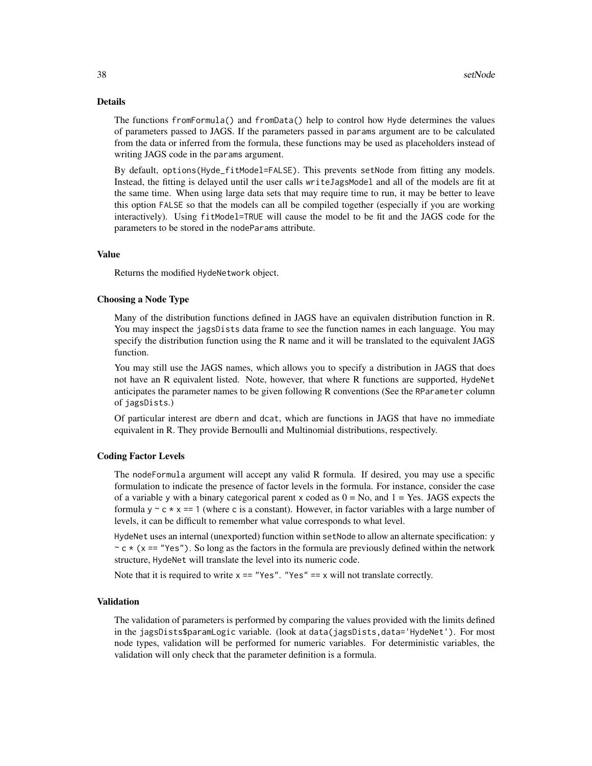#### Details

The functions fromFormula() and fromData() help to control how Hyde determines the values of parameters passed to JAGS. If the parameters passed in params argument are to be calculated from the data or inferred from the formula, these functions may be used as placeholders instead of writing JAGS code in the params argument.

By default, options(Hyde\_fitModel=FALSE). This prevents setNode from fitting any models. Instead, the fitting is delayed until the user calls writeJagsModel and all of the models are fit at the same time. When using large data sets that may require time to run, it may be better to leave this option FALSE so that the models can all be compiled together (especially if you are working interactively). Using fitModel=TRUE will cause the model to be fit and the JAGS code for the parameters to be stored in the nodeParams attribute.

# Value

Returns the modified HydeNetwork object.

#### Choosing a Node Type

Many of the distribution functions defined in JAGS have an equivalen distribution function in R. You may inspect the jagsDists data frame to see the function names in each language. You may specify the distribution function using the R name and it will be translated to the equivalent JAGS function.

You may still use the JAGS names, which allows you to specify a distribution in JAGS that does not have an R equivalent listed. Note, however, that where R functions are supported, HydeNet anticipates the parameter names to be given following R conventions (See the RParameter column of jagsDists.)

Of particular interest are dbern and dcat, which are functions in JAGS that have no immediate equivalent in R. They provide Bernoulli and Multinomial distributions, respectively.

#### Coding Factor Levels

The nodeFormula argument will accept any valid R formula. If desired, you may use a specific formulation to indicate the presence of factor levels in the formula. For instance, consider the case of a variable y with a binary categorical parent x coded as  $0 = No$ , and  $1 = Yes$ . JAGS expects the formula  $y \sim c \times x = 1$  (where c is a constant). However, in factor variables with a large number of levels, it can be difficult to remember what value corresponds to what level.

HydeNet uses an internal (unexported) function within setNode to allow an alternate specification: y  $\sim$  c  $\star$  (x == "Yes"). So long as the factors in the formula are previously defined within the network structure, HydeNet will translate the level into its numeric code.

Note that it is required to write  $x = r$   $\text{Yes}$ ". "Yes" == x will not translate correctly.

#### Validation

The validation of parameters is performed by comparing the values provided with the limits defined in the jagsDists\$paramLogic variable. (look at data(jagsDists,data='HydeNet'). For most node types, validation will be performed for numeric variables. For deterministic variables, the validation will only check that the parameter definition is a formula.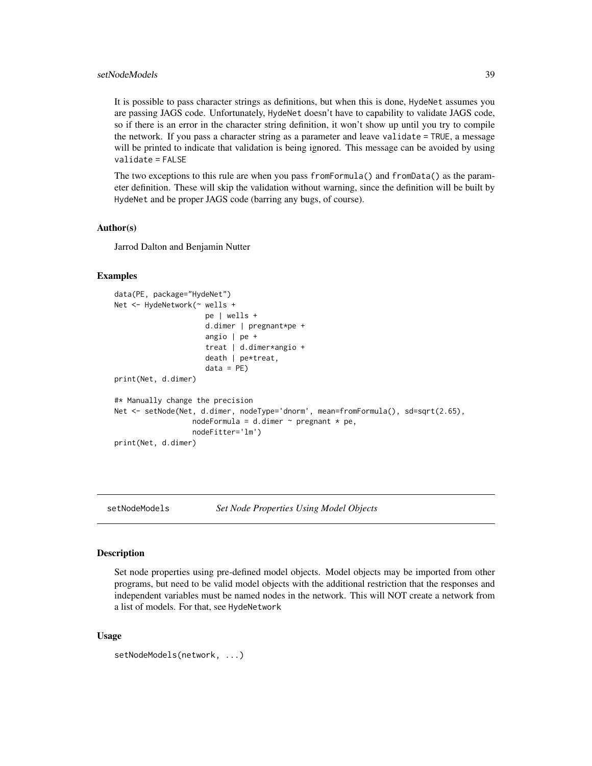# <span id="page-38-0"></span>setNodeModels 39

It is possible to pass character strings as definitions, but when this is done, HydeNet assumes you are passing JAGS code. Unfortunately, HydeNet doesn't have to capability to validate JAGS code, so if there is an error in the character string definition, it won't show up until you try to compile the network. If you pass a character string as a parameter and leave validate = TRUE, a message will be printed to indicate that validation is being ignored. This message can be avoided by using validate = FALSE

The two exceptions to this rule are when you pass fromFormula() and fromData() as the parameter definition. These will skip the validation without warning, since the definition will be built by HydeNet and be proper JAGS code (barring any bugs, of course).

#### Author(s)

Jarrod Dalton and Benjamin Nutter

#### Examples

```
data(PE, package="HydeNet")
Net <- HydeNetwork(~ wells +
                     pe | wells +
                     d.dimer | pregnant*pe +
                     angio | pe +
                     treat | d.dimer*angio +
                     death | pe*treat,
                     data = PE)
print(Net, d.dimer)
#* Manually change the precision
Net <- setNode(Net, d.dimer, nodeType='dnorm', mean=fromFormula(), sd=sqrt(2.65),
                  nodeFormula = d.dimer \sim pregnant \star pe,
                  nodeFitter='lm')
print(Net, d.dimer)
```
setNodeModels *Set Node Properties Using Model Objects*

#### Description

Set node properties using pre-defined model objects. Model objects may be imported from other programs, but need to be valid model objects with the additional restriction that the responses and independent variables must be named nodes in the network. This will NOT create a network from a list of models. For that, see HydeNetwork

#### Usage

```
setNodeModels(network, ...)
```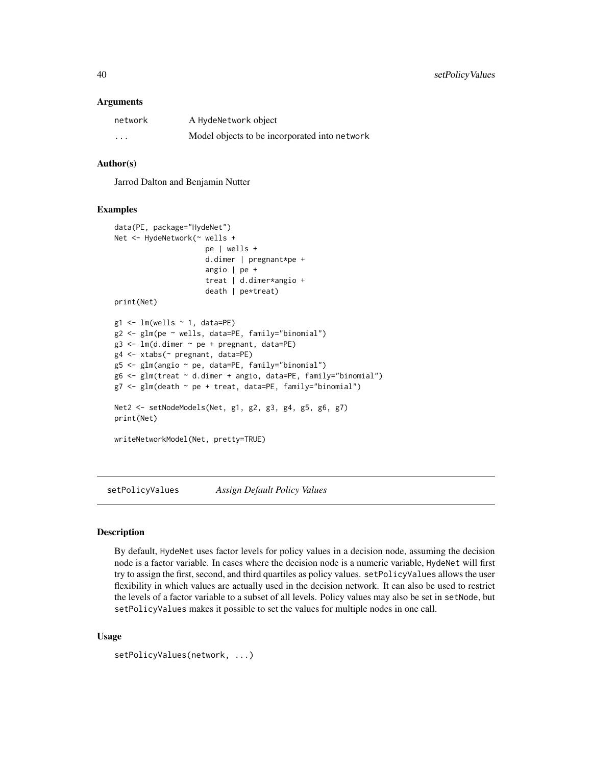#### <span id="page-39-0"></span>Arguments

| network  | A HydeNetwork object                          |
|----------|-----------------------------------------------|
| $\cdots$ | Model objects to be incorporated into network |

# Author(s)

Jarrod Dalton and Benjamin Nutter

#### Examples

```
data(PE, package="HydeNet")
Net <- HydeNetwork(~ wells +
                      pe | wells +
                      d.dimer | pregnant*pe +
                      angio | pe +
                      treat | d.dimer*angio +
                      death | pe*treat)
print(Net)
g1 \leftarrow \text{lm}(wells \sim 1, data=PE)g2 <- glm(pe ~ wells, data=PE, family="binomial")
g3 \leq Im(d.dimer \sim pe + pregnant, data=PE)g4 <- xtabs(~ pregnant, data=PE)
g5 <- glm(angio ~ pe, data=PE, family="binomial")
g6 <- glm(treat ~ d.dimer + angio, data=PE, family="binomial")
g7 <- glm(death ~ pe + treat, data=PE, family="binomial")
Net2 <- setNodeModels(Net, g1, g2, g3, g4, g5, g6, g7)
print(Net)
writeNetworkModel(Net, pretty=TRUE)
```
setPolicyValues *Assign Default Policy Values*

# Description

By default, HydeNet uses factor levels for policy values in a decision node, assuming the decision node is a factor variable. In cases where the decision node is a numeric variable, HydeNet will first try to assign the first, second, and third quartiles as policy values. setPolicyValues allows the user flexibility in which values are actually used in the decision network. It can also be used to restrict the levels of a factor variable to a subset of all levels. Policy values may also be set in setNode, but setPolicyValues makes it possible to set the values for multiple nodes in one call.

#### Usage

```
setPolicyValues(network, ...)
```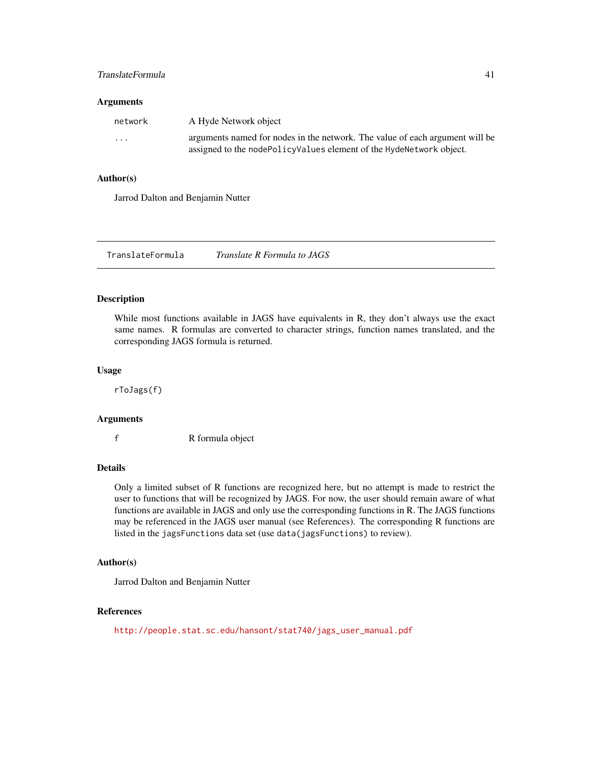# <span id="page-40-0"></span>TranslateFormula 41

#### **Arguments**

| network  | A Hyde Network object                                                                                                                               |
|----------|-----------------------------------------------------------------------------------------------------------------------------------------------------|
| $\cdots$ | arguments named for nodes in the network. The value of each argument will be<br>assigned to the nodePolicyValues element of the HydeNetwork object. |

#### Author(s)

Jarrod Dalton and Benjamin Nutter

TranslateFormula *Translate R Formula to JAGS*

#### Description

While most functions available in JAGS have equivalents in R, they don't always use the exact same names. R formulas are converted to character strings, function names translated, and the corresponding JAGS formula is returned.

#### Usage

rToJags(f)

#### Arguments

f R formula object

# Details

Only a limited subset of R functions are recognized here, but no attempt is made to restrict the user to functions that will be recognized by JAGS. For now, the user should remain aware of what functions are available in JAGS and only use the corresponding functions in R. The JAGS functions may be referenced in the JAGS user manual (see References). The corresponding R functions are listed in the jagsFunctions data set (use data(jagsFunctions) to review).

### Author(s)

Jarrod Dalton and Benjamin Nutter

### References

[http://people.stat.sc.edu/hansont/stat740/jags\\_user\\_manual.pdf](http://people.stat.sc.edu/hansont/stat740/jags_user_manual.pdf)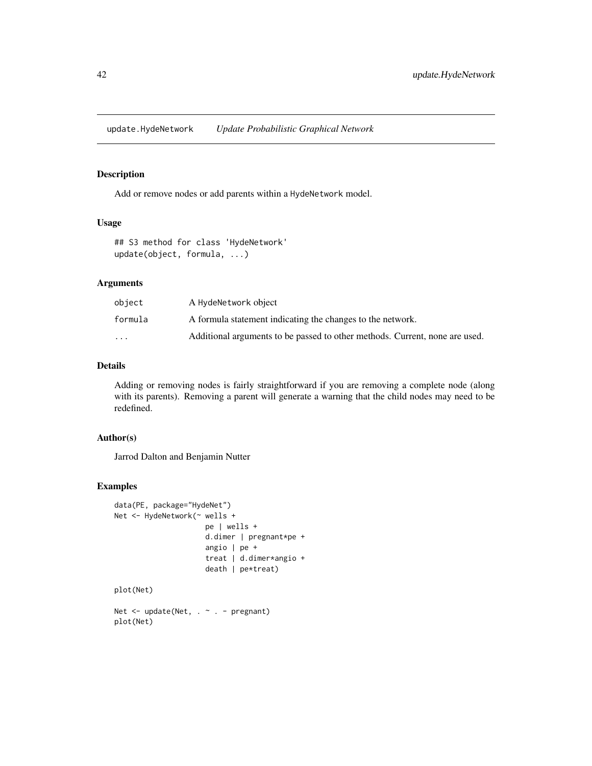<span id="page-41-0"></span>update.HydeNetwork *Update Probabilistic Graphical Network*

#### Description

Add or remove nodes or add parents within a HydeNetwork model.

# Usage

```
## S3 method for class 'HydeNetwork'
update(object, formula, ...)
```
# Arguments

| object                  | A HydeNetwork object                                                        |
|-------------------------|-----------------------------------------------------------------------------|
| formula                 | A formula statement indicating the changes to the network.                  |
| $\cdot$ $\cdot$ $\cdot$ | Additional arguments to be passed to other methods. Current, none are used. |

#### Details

Adding or removing nodes is fairly straightforward if you are removing a complete node (along with its parents). Removing a parent will generate a warning that the child nodes may need to be redefined.

# Author(s)

Jarrod Dalton and Benjamin Nutter

# Examples

```
data(PE, package="HydeNet")
Net <- HydeNetwork(~ wells +
                     pe | wells +
                     d.dimer | pregnant*pe +
                     angio | pe +
                     treat | d.dimer*angio +
                     death | pe*treat)
plot(Net)
Net <- update(Net, . ~ . - pregnant)
```
plot(Net)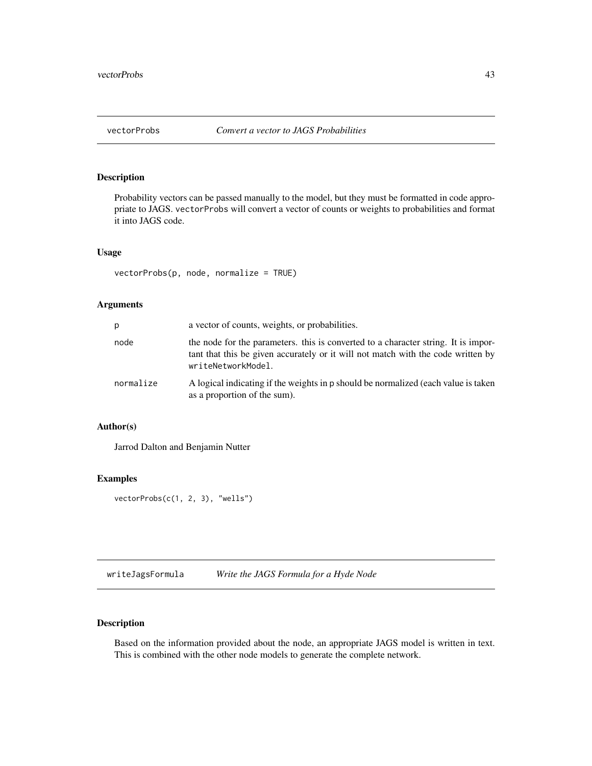<span id="page-42-0"></span>

# Description

Probability vectors can be passed manually to the model, but they must be formatted in code appropriate to JAGS. vectorProbs will convert a vector of counts or weights to probabilities and format it into JAGS code.

#### Usage

vectorProbs(p, node, normalize = TRUE)

# Arguments

| p         | a vector of counts, weights, or probabilities.                                                                                                                                               |
|-----------|----------------------------------------------------------------------------------------------------------------------------------------------------------------------------------------------|
| node      | the node for the parameters, this is converted to a character string. It is impor-<br>tant that this be given accurately or it will not match with the code written by<br>writeNetworkModel. |
| normalize | A logical indicating if the weights in p should be normalized (each value is taken<br>as a proportion of the sum).                                                                           |

# Author(s)

Jarrod Dalton and Benjamin Nutter

# Examples

vectorProbs(c(1, 2, 3), "wells")

<span id="page-42-1"></span>writeJagsFormula *Write the JAGS Formula for a Hyde Node*

# Description

Based on the information provided about the node, an appropriate JAGS model is written in text. This is combined with the other node models to generate the complete network.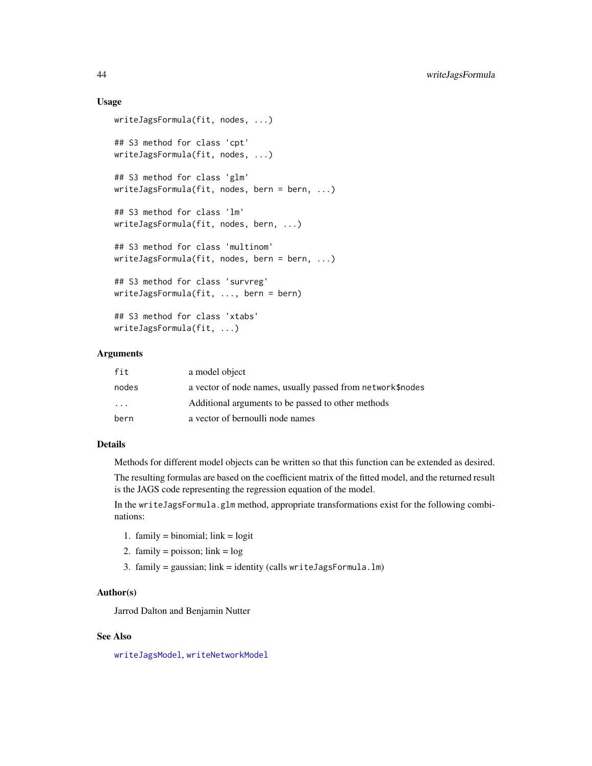### Usage

```
writeJagsFormula(fit, nodes, ...)
## S3 method for class 'cpt'
writeJagsFormula(fit, nodes, ...)
## S3 method for class 'glm'
writeJagsFormula(fit, nodes, bern = bern, ...)
## S3 method for class 'lm'
writeJagsFormula(fit, nodes, bern, ...)
## S3 method for class 'multinom'
writeJagsFormula(fit, nodes, bern = bern, ...)
## S3 method for class 'survreg'
writeJagsFormula(fit, ..., bern = bern)
## S3 method for class 'xtabs'
writeJagsFormula(fit, ...)
```
#### Arguments

| fit               | a model object                                             |
|-------------------|------------------------------------------------------------|
| nodes             | a vector of node names, usually passed from network\$nodes |
| $\cdot\cdot\cdot$ | Additional arguments to be passed to other methods         |
| bern              | a vector of bernoulli node names                           |

#### Details

Methods for different model objects can be written so that this function can be extended as desired.

The resulting formulas are based on the coefficient matrix of the fitted model, and the returned result is the JAGS code representing the regression equation of the model.

In the writeJagsFormula.glm method, appropriate transformations exist for the following combinations:

- 1. family = binomial;  $link = logit$
- 2. family = poisson;  $link = log$
- 3. family = gaussian; link = identity (calls writeJagsFormula.lm)

# Author(s)

Jarrod Dalton and Benjamin Nutter

# See Also

[writeJagsModel](#page-44-1), [writeNetworkModel](#page-45-1)

<span id="page-43-0"></span>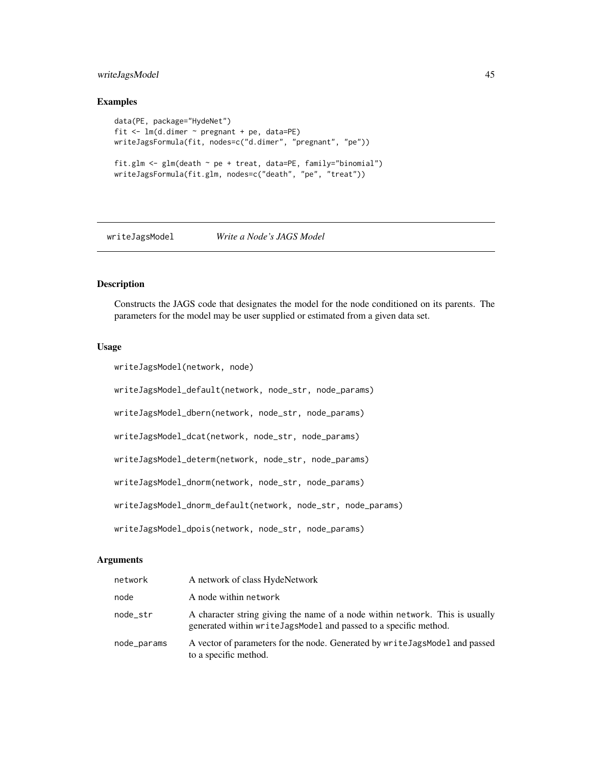# <span id="page-44-0"></span>writeJagsModel 45

#### Examples

```
data(PE, package="HydeNet")
fit <- lm(d.dimer ~ pregnant + pe, data=PE)
writeJagsFormula(fit, nodes=c("d.dimer", "pregnant", "pe"))
fit.glm <- glm(death ~ pe + treat, data=PE, family="binomial")
writeJagsFormula(fit.glm, nodes=c("death", "pe", "treat"))
```
<span id="page-44-1"></span>

# writeJagsModel *Write a Node's JAGS Model*

# Description

Constructs the JAGS code that designates the model for the node conditioned on its parents. The parameters for the model may be user supplied or estimated from a given data set.

#### Usage

```
writeJagsModel(network, node)
```
writeJagsModel\_default(network, node\_str, node\_params)

writeJagsModel\_dbern(network, node\_str, node\_params)

writeJagsModel\_dcat(network, node\_str, node\_params)

writeJagsModel\_determ(network, node\_str, node\_params)

writeJagsModel\_dnorm(network, node\_str, node\_params)

writeJagsModel\_dnorm\_default(network, node\_str, node\_params)

writeJagsModel\_dpois(network, node\_str, node\_params)

# Arguments

| network     | A network of class HydeNetwork                                                                                                                   |
|-------------|--------------------------------------------------------------------------------------------------------------------------------------------------|
| node        | A node within network                                                                                                                            |
| node_str    | A character string giving the name of a node within network. This is usually<br>generated within writeJagsModel and passed to a specific method. |
| node_params | A vector of parameters for the node. Generated by write Jags Model and passed<br>to a specific method.                                           |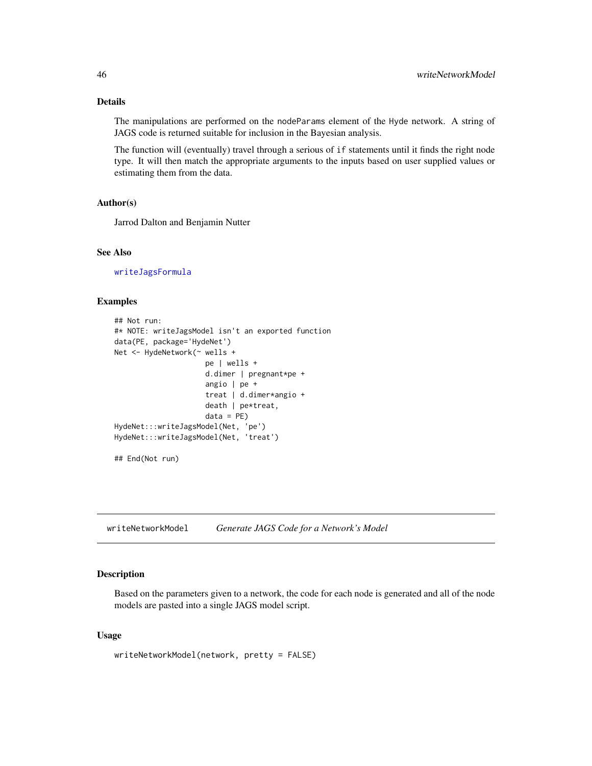# <span id="page-45-0"></span>Details

The manipulations are performed on the nodeParams element of the Hyde network. A string of JAGS code is returned suitable for inclusion in the Bayesian analysis.

The function will (eventually) travel through a serious of if statements until it finds the right node type. It will then match the appropriate arguments to the inputs based on user supplied values or estimating them from the data.

# Author(s)

Jarrod Dalton and Benjamin Nutter

# See Also

[writeJagsFormula](#page-42-1)

#### Examples

```
## Not run:
#* NOTE: writeJagsModel isn't an exported function
data(PE, package='HydeNet')
Net <- HydeNetwork(~ wells +
                     pe | wells +
                     d.dimer | pregnant*pe +
                     angio | pe +
                     treat | d.dimer*angio +
                     death | pe*treat,
                     data = PE)
HydeNet:::writeJagsModel(Net, 'pe')
HydeNet:::writeJagsModel(Net, 'treat')
```
## End(Not run)

<span id="page-45-1"></span>writeNetworkModel *Generate JAGS Code for a Network's Model*

# **Description**

Based on the parameters given to a network, the code for each node is generated and all of the node models are pasted into a single JAGS model script.

#### Usage

writeNetworkModel(network, pretty = FALSE)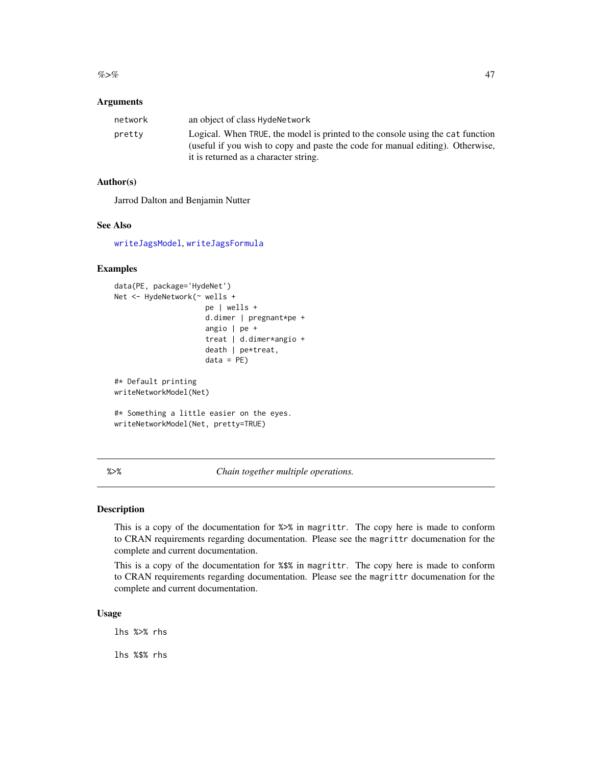### <span id="page-46-0"></span>**Arguments**

| network | an object of class HydeNetwork                                                 |
|---------|--------------------------------------------------------------------------------|
| pretty  | Logical. When TRUE, the model is printed to the console using the cat function |
|         | (useful if you wish to copy and paste the code for manual editing). Otherwise, |
|         | it is returned as a character string.                                          |

# Author(s)

Jarrod Dalton and Benjamin Nutter

#### See Also

[writeJagsModel](#page-44-1), [writeJagsFormula](#page-42-1)

# Examples

```
data(PE, package='HydeNet')
Net <- HydeNetwork(~ wells +
                     pe | wells +
                     d.dimer | pregnant*pe +
                     angio | pe +
                     treat | d.dimer*angio +
                     death | pe*treat,
                     data = PE)
#* Default printing
writeNetworkModel(Net)
#* Something a little easier on the eyes.
writeNetworkModel(Net, pretty=TRUE)
```
%>% *Chain together multiple operations.*

#### Description

This is a copy of the documentation for %>% in magrittr. The copy here is made to conform to CRAN requirements regarding documentation. Please see the magrittr documenation for the complete and current documentation.

This is a copy of the documentation for %\$% in magrittr. The copy here is made to conform to CRAN requirements regarding documentation. Please see the magrittr documenation for the complete and current documentation.

# Usage

lhs %>% rhs

lhs %\$% rhs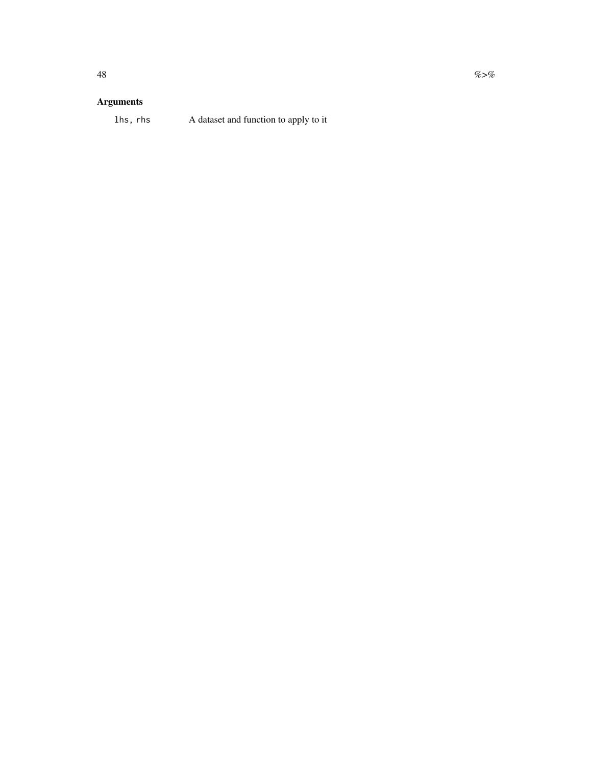# Arguments

# lhs, rhs A dataset and function to apply to it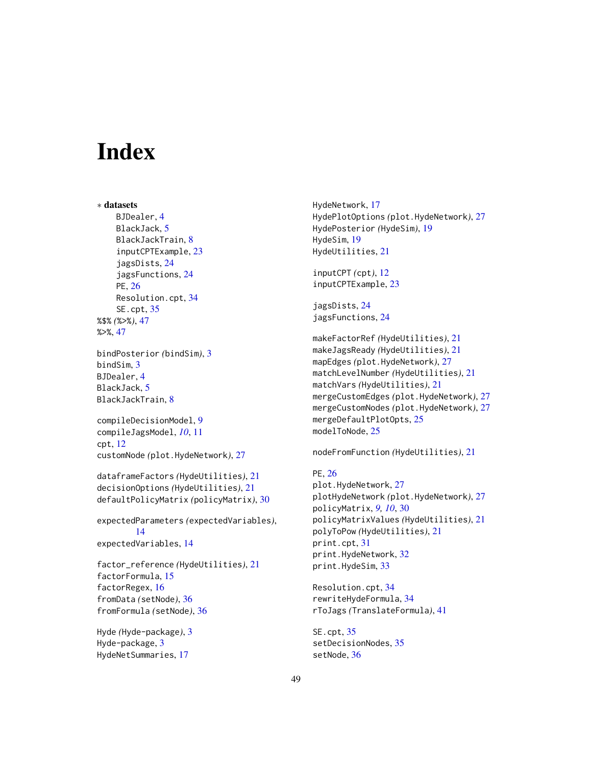# <span id="page-48-0"></span>**Index**

∗ datasets BJDealer, [4](#page-3-0) BlackJack, [5](#page-4-0) BlackJackTrain, [8](#page-7-0) inputCPTExample, [23](#page-22-0) jagsDists, [24](#page-23-0) jagsFunctions, [24](#page-23-0) PE, [26](#page-25-0) Resolution.cpt, [34](#page-33-0) SE.cpt, [35](#page-34-0) %\$% *(*%>%*)*, [47](#page-46-0) %>%, [47](#page-46-0) bindPosterior *(*bindSim*)*, [3](#page-2-0) bindSim, [3](#page-2-0) BJDealer, [4](#page-3-0) BlackJack, [5](#page-4-0) BlackJackTrain, [8](#page-7-0) compileDecisionModel, [9](#page-8-0) compileJagsModel, *[10](#page-9-0)*, [11](#page-10-0) cpt, [12](#page-11-0) customNode *(*plot.HydeNetwork*)*, [27](#page-26-0) dataframeFactors *(*HydeUtilities*)*, [21](#page-20-0) decisionOptions *(*HydeUtilities*)*, [21](#page-20-0) defaultPolicyMatrix *(*policyMatrix*)*, [30](#page-29-0) expectedParameters *(*expectedVariables*)*, [14](#page-13-0) expectedVariables, [14](#page-13-0) factor\_reference *(*HydeUtilities*)*, [21](#page-20-0)

factorFormula, [15](#page-14-0) factorRegex, [16](#page-15-0) fromData *(*setNode*)*, [36](#page-35-0) fromFormula *(*setNode*)*, [36](#page-35-0)

Hyde *(*Hyde-package*)*, [3](#page-2-0) Hyde-package, [3](#page-2-0) HydeNetSummaries, [17](#page-16-0)

HydeNetwork, [17](#page-16-0) HydePlotOptions *(*plot.HydeNetwork*)*, [27](#page-26-0) HydePosterior *(*HydeSim*)*, [19](#page-18-0) HydeSim, [19](#page-18-0) HydeUtilities, [21](#page-20-0)

inputCPT *(*cpt*)*, [12](#page-11-0) inputCPTExample, [23](#page-22-0)

jagsDists, [24](#page-23-0) jagsFunctions, [24](#page-23-0)

makeFactorRef *(*HydeUtilities*)*, [21](#page-20-0) makeJagsReady *(*HydeUtilities*)*, [21](#page-20-0) mapEdges *(*plot.HydeNetwork*)*, [27](#page-26-0) matchLevelNumber *(*HydeUtilities*)*, [21](#page-20-0) matchVars *(*HydeUtilities*)*, [21](#page-20-0) mergeCustomEdges *(*plot.HydeNetwork*)*, [27](#page-26-0) mergeCustomNodes *(*plot.HydeNetwork*)*, [27](#page-26-0) mergeDefaultPlotOpts, [25](#page-24-0) modelToNode, [25](#page-24-0)

nodeFromFunction *(*HydeUtilities*)*, [21](#page-20-0)

```
PE, 26
plot.HydeNetwork, 27
plotHydeNetwork (plot.HydeNetwork), 27
policyMatrix, 9, 10, 30
policyMatrixValues (HydeUtilities), 21
polyToPow (HydeUtilities), 21
print.cpt, 31
print.HydeNetwork, 32
print.HydeSim, 33
```
Resolution.cpt, [34](#page-33-0) rewriteHydeFormula, [34](#page-33-0) rToJags *(*TranslateFormula*)*, [41](#page-40-0)

SE.cpt, [35](#page-34-0) setDecisionNodes, [35](#page-34-0) setNode, [36](#page-35-0)